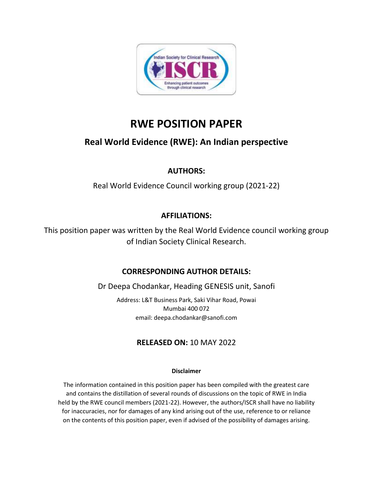

# **RWE POSITION PAPER**

## **Real World Evidence (RWE): An Indian perspective**

## **AUTHORS:**

Real World Evidence Council working group (2021-22)

## **AFFILIATIONS:**

This position paper was written by the Real World Evidence council working group of Indian Society Clinical Research.

## **CORRESPONDING AUTHOR DETAILS:**

Dr Deepa Chodankar, Heading GENESIS unit, Sanofi

Address: L&T Business Park, Saki Vihar Road, Powai Mumbai 400 072 email: deepa.chodankar@sanofi.com

## **RELEASED ON:** 10 MAY 2022

### **Disclaimer**

The information contained in this position paper has been compiled with the greatest care and contains the distillation of several rounds of discussions on the topic of RWE in India held by the RWE council members (2021-22). However, the authors/ISCR shall have no liability for inaccuracies, nor for damages of any kind arising out of the use, reference to or reliance on the contents of this position paper, even if advised of the possibility of damages arising.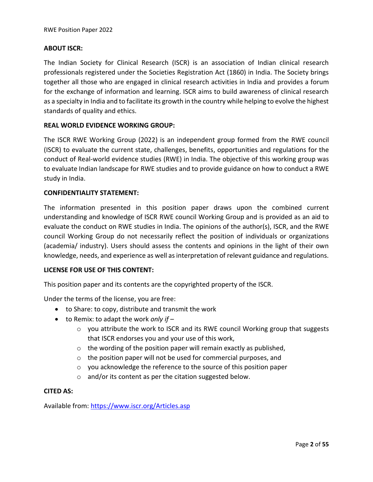#### **ABOUT ISCR:**

The Indian Society for Clinical Research (ISCR) is an association of Indian clinical research professionals registered under the Societies Registration Act (1860) in India. The Society brings together all those who are engaged in clinical research activities in India and provides a forum for the exchange of information and learning. ISCR aims to build awareness of clinical research as a specialty in India and to facilitate its growth in the country while helping to evolve the highest standards of quality and ethics.

#### **REAL WORLD EVIDENCE WORKING GROUP:**

The ISCR RWE Working Group (2022) is an independent group formed from the RWE council (ISCR) to evaluate the current state, challenges, benefits, opportunities and regulations for the conduct of Real-world evidence studies (RWE) in India. The objective of this working group was to evaluate Indian landscape for RWE studies and to provide guidance on how to conduct a RWE study in India.

#### **CONFIDENTIALITY STATEMENT:**

The information presented in this position paper draws upon the combined current understanding and knowledge of ISCR RWE council Working Group and is provided as an aid to evaluate the conduct on RWE studies in India. The opinions of the author(s), ISCR, and the RWE council Working Group do not necessarily reflect the position of individuals or organizations (academia/ industry). Users should assess the contents and opinions in the light of their own knowledge, needs, and experience as well as interpretation of relevant guidance and regulations.

#### **LICENSE FOR USE OF THIS CONTENT:**

This position paper and its contents are the copyrighted property of the ISCR.

Under the terms of the license, you are free:

- to Share: to copy, distribute and transmit the work
- to Remix: to adapt the work *only if*
	- $\circ$  you attribute the work to ISCR and its RWE council Working group that suggests that ISCR endorses you and your use of this work,
	- $\circ$  the wording of the position paper will remain exactly as published,
	- o the position paper will not be used for commercial purposes, and
	- o you acknowledge the reference to the source of this position paper
	- $\circ$  and/or its content as per the citation suggested below.

#### **CITED AS:**

Available from: [https://www.iscr.org/Articles.asp](https://protect-de.mimecast.com/s/juJICOgmB6SNGAO38iErmns?domain=iscr.org)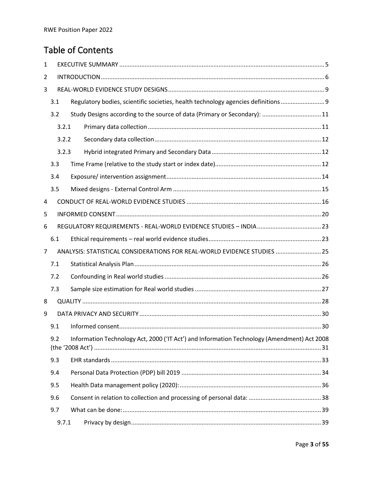# Table of Contents

| 1 |       |                                                                                             |  |  |
|---|-------|---------------------------------------------------------------------------------------------|--|--|
| 2 |       |                                                                                             |  |  |
| 3 |       |                                                                                             |  |  |
|   | 3.1   | Regulatory bodies, scientific societies, health technology agencies definitions 9           |  |  |
|   | 3.2   | Study Designs according to the source of data (Primary or Secondary):  11                   |  |  |
|   | 3.2.1 |                                                                                             |  |  |
|   | 3.2.2 |                                                                                             |  |  |
|   | 3.2.3 |                                                                                             |  |  |
|   | 3.3   |                                                                                             |  |  |
|   | 3.4   |                                                                                             |  |  |
|   | 3.5   |                                                                                             |  |  |
| 4 |       |                                                                                             |  |  |
| 5 |       |                                                                                             |  |  |
| 6 |       |                                                                                             |  |  |
|   | 6.1   |                                                                                             |  |  |
| 7 |       | ANALYSIS: STATISTICAL CONSIDERATIONS FOR REAL-WORLD EVIDENCE STUDIES  25                    |  |  |
|   | 7.1   |                                                                                             |  |  |
|   | 7.2   |                                                                                             |  |  |
|   | 7.3   |                                                                                             |  |  |
| 8 |       |                                                                                             |  |  |
| 9 |       |                                                                                             |  |  |
|   | 9.1   |                                                                                             |  |  |
|   | 9.2   | Information Technology Act, 2000 ('IT Act') and Information Technology (Amendment) Act 2008 |  |  |
|   | 9.3   |                                                                                             |  |  |
|   | 9.4   |                                                                                             |  |  |
|   | 9.5   |                                                                                             |  |  |
|   | 9.6   |                                                                                             |  |  |
|   | 9.7   |                                                                                             |  |  |
|   | 9.7.1 |                                                                                             |  |  |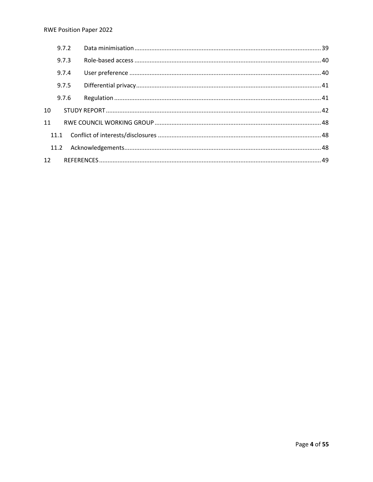#### **RWE Position Paper 2022**

|    | 9.7.2 |  |
|----|-------|--|
|    | 9.7.3 |  |
|    | 9.7.4 |  |
|    | 9.7.5 |  |
|    | 9.7.6 |  |
| 10 |       |  |
| 11 |       |  |
|    | 11.1  |  |
|    |       |  |
|    |       |  |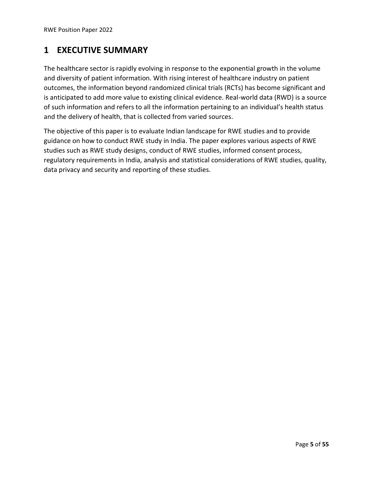## <span id="page-4-0"></span>**1 EXECUTIVE SUMMARY**

The healthcare sector is rapidly evolving in response to the exponential growth in the volume and diversity of patient information. With rising interest of healthcare industry on patient outcomes, the information beyond randomized clinical trials (RCTs) has become significant and is anticipated to add more value to existing clinical evidence. Real-world data (RWD) is a source of such information and refers to all the information pertaining to an individual's health status and the delivery of health, that is collected from varied sources.

The objective of this paper is to evaluate Indian landscape for RWE studies and to provide guidance on how to conduct RWE study in India. The paper explores various aspects of RWE studies such as RWE study designs, conduct of RWE studies, informed consent process, regulatory requirements in India, analysis and statistical considerations of RWE studies, quality, data privacy and security and reporting of these studies.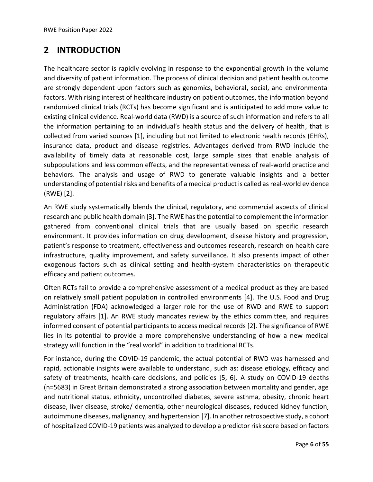## <span id="page-5-0"></span>**2 INTRODUCTION**

The healthcare sector is rapidly evolving in response to the exponential growth in the volume and diversity of patient information. The process of clinical decision and patient health outcome are strongly dependent upon factors such as genomics, behavioral, social, and environmental factors. With rising interest of healthcare industry on patient outcomes, the information beyond randomized clinical trials (RCTs) has become significant and is anticipated to add more value to existing clinical evidence. Real-world data (RWD) is a source of such information and refers to all the information pertaining to an individual's health status and the delivery of health, that is collected from varied sources [\[1\]](#page-48-1), including but not limited to electronic health records (EHRs), insurance data, product and disease registries. Advantages derived from RWD include the availability of timely data at reasonable cost, large sample sizes that enable analysis of subpopulations and less common effects, and the representativeness of real-world practice and behaviors. The analysis and usage of RWD to generate valuable insights and a better understanding of potential risks and benefits of a medical product is called as real-world evidence (RWE) [\[2\]](#page-48-2).

An RWE study systematically blends the clinical, regulatory, and commercial aspects of clinical research and public health domain [\[3\]](#page-48-3). The RWE has the potential to complement the information gathered from conventional clinical trials that are usually based on specific research environment. It provides information on drug development, disease history and progression, patient's response to treatment, effectiveness and outcomes research, research on health care infrastructure, quality improvement, and safety surveillance. It also presents impact of other exogenous factors such as clinical setting and health-system characteristics on therapeutic efficacy and patient outcomes.

Often RCTs fail to provide a comprehensive assessment of a medical product as they are based on relatively small patient population in controlled environments [\[4\]](#page-48-4). The U.S. Food and Drug Administration (FDA) acknowledged a larger role for the use of RWD and RWE to support regulatory affairs [\[1\]](#page-48-1). An RWE study mandates review by the ethics committee, and requires informed consent of potential participants to access medical records [\[2\]](#page-48-2). The significance of RWE lies in its potential to provide a more comprehensive understanding of how a new medical strategy will function in the "real world" in addition to traditional RCTs.

For instance, during the COVID-19 pandemic, the actual potential of RWD was harnessed and rapid, actionable insights were available to understand, such as: disease etiology, efficacy and safety of treatments, health-care decisions, and policies [\[5,](#page-48-5) [6\]](#page-48-6). A study on COVID-19 deaths (n=5683) in Great Britain demonstrated a strong association between mortality and gender, age and nutritional status, ethnicity, uncontrolled diabetes, severe asthma, obesity, chronic heart disease, liver disease, stroke/ dementia, other neurological diseases, reduced kidney function, autoimmune diseases, malignancy, and hypertension [\[7\]](#page-48-7). In another retrospective study, a cohort of hospitalized COVID-19 patients was analyzed to develop a predictor risk score based on factors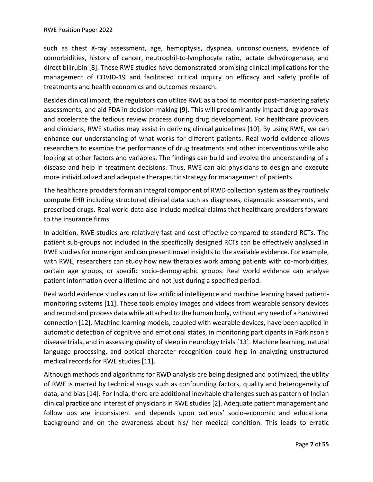such as chest X-ray assessment, age, hemoptysis, dyspnea, unconsciousness, evidence of comorbidities, history of cancer, neutrophil-to-lymphocyte ratio, lactate dehydrogenase, and direct bilirubin [\[8\]](#page-48-8). These RWE studies have demonstrated promising clinical implications for the management of COVID-19 and facilitated critical inquiry on efficacy and safety profile of treatments and health economics and outcomes research.

Besides clinical impact, the regulators can utilize RWE as a tool to monitor post-marketing safety assessments, and aid FDA in decision-making [\[9\]](#page-48-9). This will predominantly impact drug approvals and accelerate the tedious review process during drug development. For healthcare providers and clinicians, RWE studies may assist in deriving clinical guidelines [\[10\]](#page-48-10). By using RWE, we can enhance our understanding of what works for different patients. Real world evidence allows researchers to examine the performance of drug treatments and other interventions while also looking at other factors and variables. The findings can build and evolve the understanding of a disease and help in treatment decisions. Thus, RWE can aid physicians to design and execute more individualized and adequate therapeutic strategy for management of patients.

The healthcare providers form an integral component of RWD collection system as they routinely compute EHR including structured clinical data such as diagnoses, diagnostic assessments, and prescribed drugs. Real world data also include medical claims that healthcare providers forward to the insurance firms.

In addition, RWE studies are relatively fast and cost effective compared to standard RCTs. The patient sub-groups not included in the specifically designed RCTs can be effectively analysed in RWE studies for more rigor and can present novel insights to the available evidence. For example, with RWE, researchers can study how new therapies work among patients with co-morbidities, certain age groups, or specific socio-demographic groups. Real world evidence can analyse patient information over a lifetime and not just during a specified period.

Real world evidence studies can utilize artificial intelligence and machine learning based patientmonitoring systems [\[11\]](#page-49-0). These tools employ images and videos from wearable sensory devices and record and process data while attached to the human body, without any need of a hardwired connection [\[12\]](#page-49-1). Machine learning models, coupled with wearable devices, have been applied in automatic detection of cognitive and emotional states, in monitoring participants in Parkinson's disease trials, and in assessing quality of sleep in neurology trials [\[13\]](#page-49-2). Machine learning, natural language processing, and optical character recognition could help in analyzing unstructured medical records for RWE studies [\[11\]](#page-49-0).

Although methods and algorithms for RWD analysis are being designed and optimized, the utility of RWE is marred by technical snags such as confounding factors, quality and heterogeneity of data, and bias [\[14\]](#page-49-3). For India, there are additional inevitable challenges such as pattern of Indian clinical practice and interest of physicians in RWE studies [\[2\]](#page-48-2). Adequate patient management and follow ups are inconsistent and depends upon patients' socio-economic and educational background and on the awareness about his/ her medical condition. This leads to erratic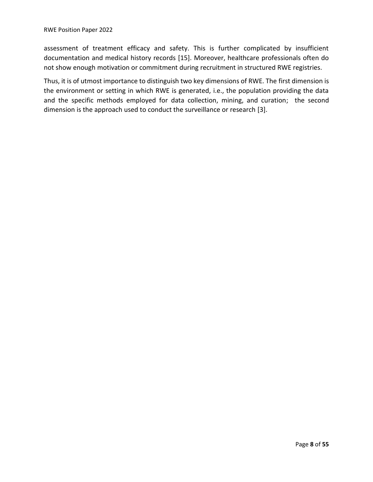assessment of treatment efficacy and safety. This is further complicated by insufficient documentation and medical history records [\[15\]](#page-49-4). Moreover, healthcare professionals often do not show enough motivation or commitment during recruitment in structured RWE registries.

Thus, it is of utmost importance to distinguish two key dimensions of RWE. The first dimension is the environment or setting in which RWE is generated, i.e., the population providing the data and the specific methods employed for data collection, mining, and curation; the second dimension is the approach used to conduct the surveillance or research [\[3\]](#page-48-3).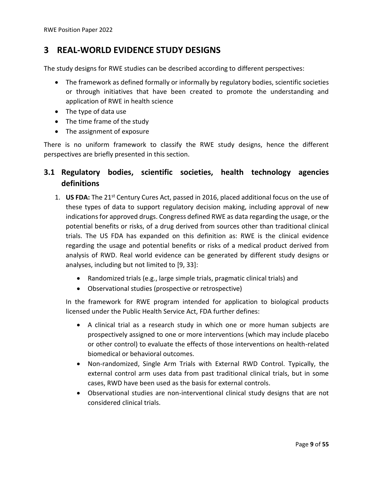## <span id="page-8-0"></span>**3 REAL-WORLD EVIDENCE STUDY DESIGNS**

The study designs for RWE studies can be described according to different perspectives:

- The framework as defined formally or informally by regulatory bodies, scientific societies or through initiatives that have been created to promote the understanding and application of RWE in health science
- The type of data use
- The time frame of the study
- The assignment of exposure

There is no uniform framework to classify the RWE study designs, hence the different perspectives are briefly presented in this section.

## <span id="page-8-1"></span>**3.1 Regulatory bodies, scientific societies, health technology agencies definitions**

- 1. **US FDA:** The 21st Century Cures Act, passed in 2016, placed additional focus on the use of these types of data to support regulatory decision making, including approval of new indications for approved drugs. Congress defined RWE as data regarding the usage, or the potential benefits or risks, of a drug derived from sources other than traditional clinical trials. The US FDA has expanded on this definition as: RWE is the clinical evidence regarding the usage and potential benefits or risks of a medical product derived from analysis of RWD. Real world evidence can be generated by different study designs or analyses, including but not limited to [\[9,](#page-48-9) [33\]](#page-50-0):
	- Randomized trials (e.g., large simple trials, pragmatic clinical trials) and
	- Observational studies (prospective or retrospective)

In the framework for RWE program intended for application to biological products licensed under the Public Health Service Act, FDA further defines:

- A clinical trial as a research study in which one or more human subjects are prospectively assigned to one or more interventions (which may include placebo or other control) to evaluate the effects of those interventions on health-related biomedical or behavioral outcomes.
- Non-randomized, Single Arm Trials with External RWD Control. Typically, the external control arm uses data from past traditional clinical trials, but in some cases, RWD have been used as the basis for external controls.
- Observational studies are non-interventional clinical study designs that are not considered clinical trials.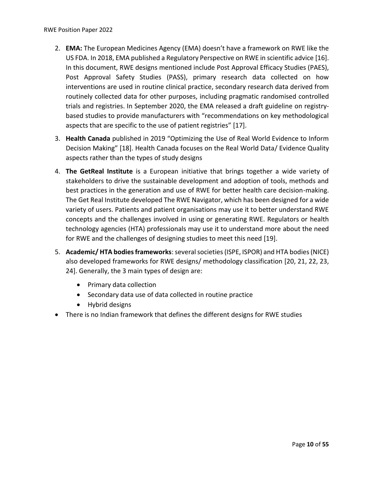- 2. **EMA:** The European Medicines Agency (EMA) doesn't have a framework on RWE like the US FDA. In 2018, EMA published a Regulatory Perspective on RWE in scientific advice [\[16\]](#page-49-5). In this document, RWE designs mentioned include Post Approval Efficacy Studies (PAES), Post Approval Safety Studies (PASS), primary research data collected on how interventions are used in routine clinical practice, secondary research data derived from routinely collected data for other purposes, including pragmatic randomised controlled trials and registries. In September 2020, the EMA released a [draft guideline](https://www.ema.europa.eu/en/documents/scientific-guideline/guideline-registry-based-studies_en.pdf) on registrybased studies to provide manufacturers with "recommendations on key methodological aspects that are specific to the use of patient registries" [\[17\]](#page-49-6).
- 3. **Health Canada** published in 2019 "Optimizing the Use of Real World Evidence to Inform Decision Making" [\[18\]](#page-49-7). Health Canada focuses on the Real World Data/ Evidence Quality aspects rather than the types of study designs
- 4. **The GetReal Institute** is a European initiative that brings together a wide variety of stakeholders to drive the sustainable development and adoption of tools, methods and best practices in the generation and use of RWE for better health care decision-making. The Get Real Institute developed The RWE Navigator, which has been designed for a wide variety of users. Patients and patient organisations may use it to better understand RWE concepts and the challenges involved in using or generating RWE. Regulators or health technology agencies (HTA) professionals may use it to understand more about the need for RWE and the challenges of designing studies to meet this need [\[19\]](#page-49-8).
- 5. **Academic/ HTA bodies frameworks**: several societies (ISPE, ISPOR) and HTA bodies (NICE) also developed frameworks for RWE designs/ methodology classification [\[20,](#page-49-9) [21,](#page-49-10) [22,](#page-49-11) [23,](#page-49-12) [24\]](#page-49-13). Generally, the 3 main types of design are:
	- Primary data collection
	- Secondary data use of data collected in routine practice
	- Hybrid designs
- There is no Indian framework that defines the different designs for RWE studies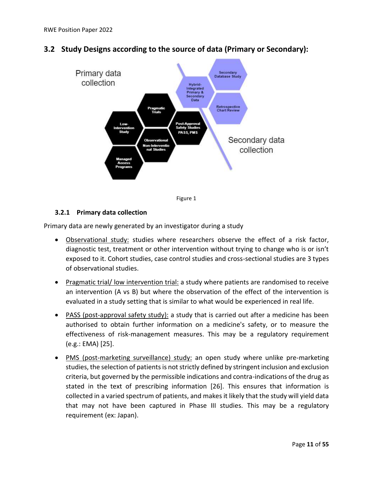

### <span id="page-10-0"></span>**3.2 Study Designs according to the source of data (Primary or Secondary):**



### <span id="page-10-1"></span>**3.2.1 Primary data collection**

Primary data are newly generated by an investigator during a study

- Observational study: studies where researchers observe the effect of a risk factor, diagnostic test, treatment or other intervention without trying to change who is or isn't exposed to it. Cohort studies, case control studies and cross-sectional studies are 3 types of observational studies.
- Pragmatic trial/ low intervention trial: a study where patients are randomised to receive an intervention (A vs B) but where the observation of the effect of the intervention is evaluated in a study setting that is similar to what would be experienced in real life.
- PASS (post-approval safety study): a study that is carried out after a medicine has been authorised to obtain further information on a medicine's safety, or to measure the effectiveness of risk-management measures. This may be a regulatory requirement (e.g.: EMA) [\[25\]](#page-49-14).
- PMS (post-marketing surveillance) study: an open study where unlike pre-marketing studies, the selection of patients is not strictly defined by stringent inclusion and exclusion criteria, but governed by the permissible indications and contra-indications of the drug as stated in the text of prescribing information [\[26\]](#page-50-1). This ensures that information is collected in a varied spectrum of patients, and makes it likely that the study will yield data that may not have been captured in Phase III studies. This may be a regulatory requirement (ex: Japan).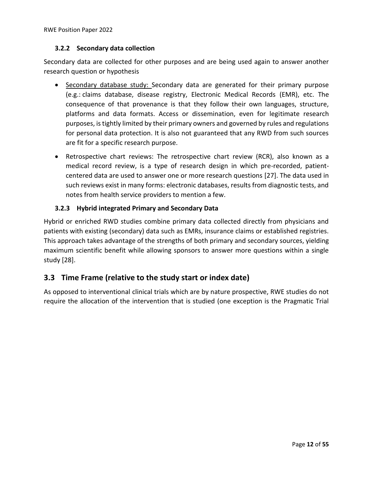### <span id="page-11-0"></span>**3.2.2 Secondary data collection**

Secondary data are collected for other purposes and are being used again to answer another research question or hypothesis

- Secondary database study: Secondary data are generated for their primary purpose (e.g.: claims database, disease registry, Electronic Medical Records (EMR), etc. The consequence of that provenance is that they follow their own languages, structure, platforms and data formats. Access or dissemination, even for legitimate research purposes, is tightly limited by their primary owners and governed by rules and regulations for personal data protection. It is also not guaranteed that any RWD from such sources are fit for a specific research purpose.
- Retrospective chart reviews: The retrospective chart review (RCR), also known as a medical record review, is a type of research design in which pre-recorded, patientcentered data are used to answer one or more research questions [\[27\]](#page-50-2). The data used in such reviews exist in many forms: electronic databases, results from diagnostic tests, and notes from health service providers to mention a few.

### <span id="page-11-1"></span>**3.2.3 Hybrid integrated Primary and Secondary Data**

Hybrid or enriched RWD studies combine primary data collected directly from physicians and patients with existing (secondary) data such as EMRs, insurance claims or established registries. This approach takes advantage of the strengths of both primary and secondary sources, yielding maximum scientific benefit while allowing sponsors to answer more questions within a single study [\[28\]](#page-50-3).

### <span id="page-11-2"></span>**3.3 Time Frame (relative to the study start or index date)**

As opposed to interventional clinical trials which are by nature prospective, RWE studies do not require the allocation of the intervention that is studied (one exception is the Pragmatic Trial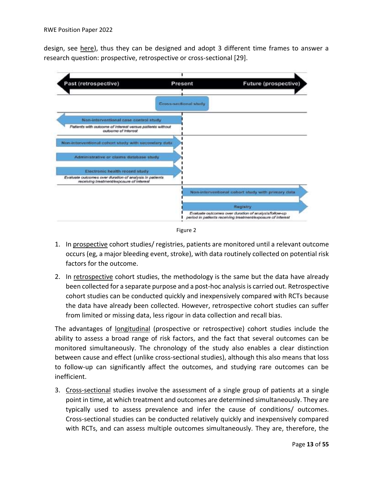design, see [here\)](#page-13-1), thus they can be designed and adopt 3 different time frames to answer a research question: prospective, retrospective or cross-sectional [\[29\]](#page-50-4).





- 1. In prospective cohort studies/ registries, patients are monitored until a relevant outcome occurs (eg, a major bleeding event, stroke), with data routinely collected on potential risk factors for the outcome.
- 2. In retrospective cohort studies, the methodology is the same but the data have already been collected for a separate purpose and a post-hoc analysis is carried out. Retrospective cohort studies can be conducted quickly and inexpensively compared with RCTs because the data have already been collected. However, retrospective cohort studies can suffer from limited or missing data, less rigour in data collection and recall bias.

The advantages of longitudinal (prospective or retrospective) cohort studies include the ability to assess a broad range of risk factors, and the fact that several outcomes can be monitored simultaneously. The chronology of the study also enables a clear distinction between cause and effect (unlike cross-sectional studies), although this also means that loss to follow-up can significantly affect the outcomes, and studying rare outcomes can be inefficient.

3. Cross-sectional studies involve the assessment of a single group of patients at a single point in time, at which treatment and outcomes are determined simultaneously. They are typically used to assess prevalence and infer the cause of conditions/ outcomes. Cross-sectional studies can be conducted relatively quickly and inexpensively compared with RCTs, and can assess multiple outcomes simultaneously. They are, therefore, the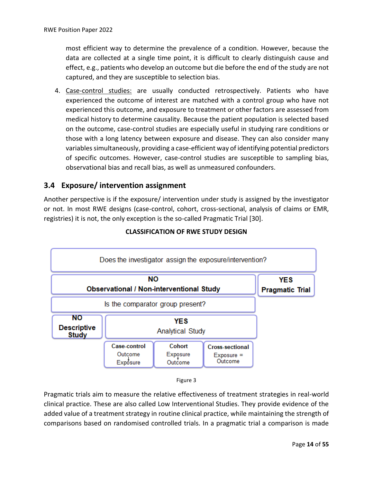most efficient way to determine the prevalence of a condition. However, because the data are collected at a single time point, it is difficult to clearly distinguish cause and effect, e.g., patients who develop an outcome but die before the end of the study are not captured, and they are susceptible to selection bias.

4. Case-control studies: are usually conducted retrospectively. Patients who have experienced the outcome of interest are matched with a control group who have not experienced this outcome, and exposure to treatment or other factors are assessed from medical history to determine causality. Because the patient population is selected based on the outcome, case-control studies are especially useful in studying rare conditions or those with a long latency between exposure and disease. They can also consider many variables simultaneously, providing a case-efficient way of identifying potential predictors of specific outcomes. However, case-control studies are susceptible to sampling bias, observational bias and recall bias, as well as unmeasured confounders.

## <span id="page-13-0"></span>**3.4 Exposure/ intervention assignment**

Another perspective is if the exposure/ intervention under study is assigned by the investigator or not. In most RWE designs (case-control, cohort, cross-sectional, analysis of claims or EMR, registries) it is not, the only exception is the so-called Pragmatic Trial [\[30\]](#page-50-5).



### **CLASSIFICATION OF RWE STUDY DESIGN**

<span id="page-13-1"></span>Pragmatic trials aim to measure the relative effectiveness of treatment strategies in real-world clinical practice. These are also called Low Interventional Studies. They provide evidence of the added value of a treatment strategy in routine clinical practice, while maintaining the strength of comparisons based on randomised controlled trials. In a pragmatic trial a comparison is made

Figure 3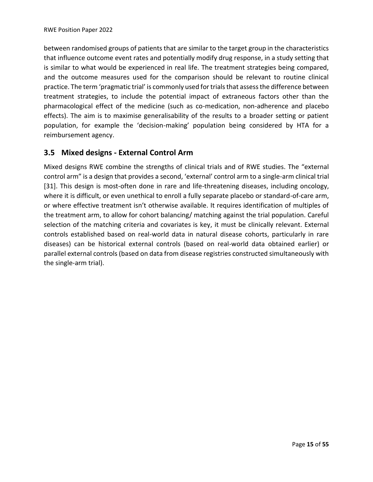between randomised groups of patients that are similar to the target group in the characteristics that influence outcome event rates and potentially modify drug response, in a study setting that is similar to what would be experienced in real life. The treatment strategies being compared, and the outcome measures used for the comparison should be relevant to routine clinical practice. The term 'pragmatic trial' is commonly used for trials that assess the difference between treatment strategies, to include the potential impact of extraneous factors other than the pharmacological effect of the medicine (such as co-medication, non-adherence and placebo effects). The aim is to maximise generalisability of the results to a broader setting or patient population, for example the 'decision-making' population being considered by HTA for a reimbursement agency.

## <span id="page-14-0"></span>**3.5 Mixed designs - External Control Arm**

Mixed designs RWE combine the strengths of clinical trials and of RWE studies. The "external control arm" is a design that provides a second, 'external' control arm to a single-arm clinical trial [\[31\]](#page-50-6). This design is most-often done in rare and life-threatening diseases, including oncology, where it is difficult, or even unethical to enroll a fully separate placebo or standard-of-care arm, or where effective treatment isn't otherwise available. It requires identification of multiples of the treatment arm, to allow for cohort balancing/ matching against the trial population. Careful selection of the matching criteria and covariates is key, it must be clinically relevant. External controls established based on real-world data in natural disease cohorts, particularly in rare diseases) can be historical external controls (based on real-world data obtained earlier) or parallel external controls (based on data from disease registries constructed simultaneously with the single-arm trial).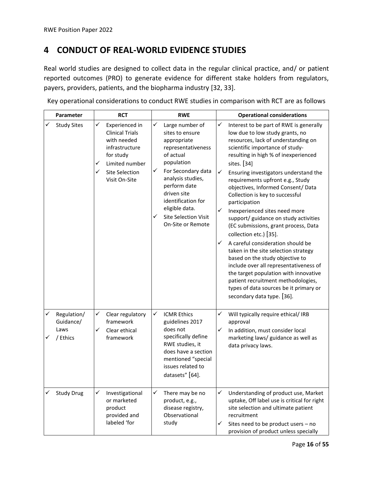## <span id="page-15-0"></span>**4 CONDUCT OF REAL-WORLD EVIDENCE STUDIES**

Real world studies are designed to collect data in the regular clinical practice, and/ or patient reported outcomes (PRO) to generate evidence for different stake holders from regulators, payers, providers, patients, and the biopharma industry [\[32,](#page-50-7) [33\]](#page-50-0).

| Parameter                                         | <b>RCT</b>                                                                                                                                                 | <b>RWE</b>                                                                                                                                                                                                                                                                              | <b>Operational considerations</b>                                                                                                                                                                                                                                                                                                                                                                                                                                                                                                                                                                                                                                                                                                                                                                                                                                                        |  |
|---------------------------------------------------|------------------------------------------------------------------------------------------------------------------------------------------------------------|-----------------------------------------------------------------------------------------------------------------------------------------------------------------------------------------------------------------------------------------------------------------------------------------|------------------------------------------------------------------------------------------------------------------------------------------------------------------------------------------------------------------------------------------------------------------------------------------------------------------------------------------------------------------------------------------------------------------------------------------------------------------------------------------------------------------------------------------------------------------------------------------------------------------------------------------------------------------------------------------------------------------------------------------------------------------------------------------------------------------------------------------------------------------------------------------|--|
| ✓<br><b>Study Sites</b>                           | ✓<br>Experienced in<br><b>Clinical Trials</b><br>with needed<br>infrastructure<br>for study<br>Limited number<br>✓<br>✓<br>Site Selection<br>Visit On-Site | ✓<br>Large number of<br>sites to ensure<br>appropriate<br>representativeness<br>of actual<br>population<br>✓<br>For Secondary data<br>analysis studies,<br>perform date<br>driven site<br>identification for<br>eligible data.<br>✓<br><b>Site Selection Visit</b><br>On-Site or Remote | ✓<br>Interest to be part of RWE is generally<br>low due to low study grants, no<br>resources, lack of understanding on<br>scientific importance of study-<br>resulting in high % of inexperienced<br>sites. [34]<br>$\checkmark$<br>Ensuring investigators understand the<br>requirements upfront e.g., Study<br>objectives, Informed Consent/Data<br>Collection is key to successful<br>participation<br>✓<br>Inexperienced sites need more<br>support/ guidance on study activities<br>(EC submissions, grant process, Data<br>collection etc.) [35].<br>$\checkmark$<br>A careful consideration should be<br>taken in the site selection strategy<br>based on the study objective to<br>include over all representativeness of<br>the target population with innovative<br>patient recruitment methodologies,<br>types of data sources be it primary or<br>secondary data type. [36]. |  |
| ✓<br>Regulation/<br>Guidance/<br>Laws<br>/ Ethics | ✓<br>Clear regulatory<br>framework<br>✓<br>Clear ethical<br>framework                                                                                      | $\checkmark$<br><b>ICMR Ethics</b><br>guidelines 2017<br>does not<br>specifically define<br>RWE studies, it<br>does have a section<br>mentioned "special<br>issues related to<br>datasets" [64].                                                                                        | ✓<br>Will typically require ethical/ IRB<br>approval<br>$\checkmark$<br>In addition, must consider local<br>marketing laws/ guidance as well as<br>data privacy laws.                                                                                                                                                                                                                                                                                                                                                                                                                                                                                                                                                                                                                                                                                                                    |  |
| <b>Study Drug</b>                                 | ✓<br>Investigational<br>or marketed<br>product<br>provided and<br>labeled 'for                                                                             | $\checkmark$<br>There may be no<br>product, e.g.,<br>disease registry,<br>Observational<br>study                                                                                                                                                                                        | $\checkmark$<br>Understanding of product use, Market<br>uptake, Off label use is critical for right<br>site selection and ultimate patient<br>recruitment<br>✓<br>Sites need to be product users - no<br>provision of product unless specially                                                                                                                                                                                                                                                                                                                                                                                                                                                                                                                                                                                                                                           |  |

Key operational considerations to conduct RWE studies in comparison with RCT are as follows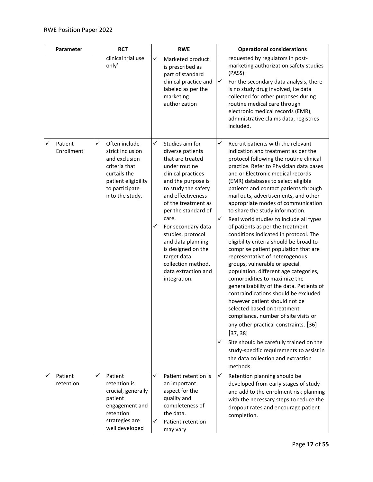| Parameter                  | <b>RCT</b>                                                                                                                                           | <b>RWE</b>                                                                                                                                                                                                                                                                                                                                                                                          | <b>Operational considerations</b>                                                                                                                                                                                                                                                                                                                                                                                                                                                                                                                                                                                                                                                                                                                                                                                                                                                                                                                                                                                                                                                                                                                                                 |
|----------------------------|------------------------------------------------------------------------------------------------------------------------------------------------------|-----------------------------------------------------------------------------------------------------------------------------------------------------------------------------------------------------------------------------------------------------------------------------------------------------------------------------------------------------------------------------------------------------|-----------------------------------------------------------------------------------------------------------------------------------------------------------------------------------------------------------------------------------------------------------------------------------------------------------------------------------------------------------------------------------------------------------------------------------------------------------------------------------------------------------------------------------------------------------------------------------------------------------------------------------------------------------------------------------------------------------------------------------------------------------------------------------------------------------------------------------------------------------------------------------------------------------------------------------------------------------------------------------------------------------------------------------------------------------------------------------------------------------------------------------------------------------------------------------|
|                            | clinical trial use<br>only'                                                                                                                          | $\checkmark$<br>Marketed product<br>is prescribed as<br>part of standard<br>clinical practice and<br>labeled as per the<br>marketing<br>authorization                                                                                                                                                                                                                                               | requested by regulators in post-<br>marketing authorization safety studies<br>(PASS).<br>✓<br>For the secondary data analysis, there<br>is no study drug involved, i:e data<br>collected for other purposes during<br>routine medical care through<br>electronic medical records (EMR),<br>administrative claims data, registries<br>included.                                                                                                                                                                                                                                                                                                                                                                                                                                                                                                                                                                                                                                                                                                                                                                                                                                    |
| ✓<br>Patient<br>Enrollment | ✓<br>Often include<br>strict inclusion<br>and exclusion<br>criteria that<br>curtails the<br>patient eligibility<br>to participate<br>into the study. | ✓<br>Studies aim for<br>diverse patients<br>that are treated<br>under routine<br>clinical practices<br>and the purpose is<br>to study the safety<br>and effectiveness<br>of the treatment as<br>per the standard of<br>care.<br>✓<br>For secondary data<br>studies, protocol<br>and data planning<br>is designed on the<br>target data<br>collection method,<br>data extraction and<br>integration. | ✓<br>Recruit patients with the relevant<br>indication and treatment as per the<br>protocol following the routine clinical<br>practice. Refer to Physician data bases<br>and or Electronic medical records<br>(EMR) databases to select eligible<br>patients and contact patients through<br>mail outs, advertisements, and other<br>appropriate modes of communication<br>to share the study information.<br>$\checkmark$<br>Real world studies to include all types<br>of patients as per the treatment<br>conditions indicated in protocol. The<br>eligibility criteria should be broad to<br>comprise patient population that are<br>representative of heterogenous<br>groups, vulnerable or special<br>population, different age categories,<br>comorbidities to maximize the<br>generalizability of the data. Patients of<br>contraindications should be excluded<br>however patient should not be<br>selected based on treatment<br>compliance, number of site visits or<br>any other practical constraints. [36]<br>[37, 38]<br>Site should be carefully trained on the<br>✓<br>study-specific requirements to assist in<br>the data collection and extraction<br>methods. |
| ✓<br>Patient<br>retention  | ✓<br>Patient<br>retention is<br>crucial, generally<br>patient<br>engagement and<br>retention<br>strategies are<br>well developed                     | ✓<br>Patient retention is<br>an important<br>aspect for the<br>quality and<br>completeness of<br>the data.<br>✓<br>Patient retention<br>may vary                                                                                                                                                                                                                                                    | $\checkmark$<br>Retention planning should be<br>developed from early stages of study<br>and add to the enrolment risk planning<br>with the necessary steps to reduce the<br>dropout rates and encourage patient<br>completion.                                                                                                                                                                                                                                                                                                                                                                                                                                                                                                                                                                                                                                                                                                                                                                                                                                                                                                                                                    |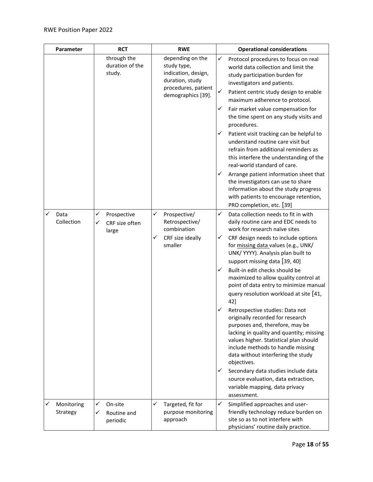| Parameter |                        |                                          | <b>RCT</b>                             |                                                                                                                        | <b>RWE</b>                                                                                                                                                                                       |             | <b>Operational considerations</b>                                                                                                                                                                                                                                                                                             |
|-----------|------------------------|------------------------------------------|----------------------------------------|------------------------------------------------------------------------------------------------------------------------|--------------------------------------------------------------------------------------------------------------------------------------------------------------------------------------------------|-------------|-------------------------------------------------------------------------------------------------------------------------------------------------------------------------------------------------------------------------------------------------------------------------------------------------------------------------------|
|           |                        | through the<br>duration of the<br>study. |                                        | depending on the<br>study type,<br>indication, design,<br>duration, study<br>procedures, patient<br>demographics [39]. |                                                                                                                                                                                                  | ✓<br>✓<br>✓ | Protocol procedures to focus on real<br>world data collection and limit the<br>study participation burden for<br>investigators and patients.<br>Patient centric study design to enable<br>maximum adherence to protocol.<br>Fair market value compensation for<br>the time spent on any study visits and<br>procedures.       |
|           |                        |                                          |                                        | ✓                                                                                                                      | Patient visit tracking can be helpful to<br>understand routine care visit but<br>refrain from additional reminders as<br>this interfere the understanding of the<br>real-world standard of care. |             |                                                                                                                                                                                                                                                                                                                               |
|           |                        |                                          |                                        |                                                                                                                        |                                                                                                                                                                                                  | ✓           | Arrange patient information sheet that<br>the investigators can use to share<br>information about the study progress<br>with patients to encourage retention,<br>PRO completion, etc. [39]                                                                                                                                    |
|           | Data<br>Collection     | ✓<br>✓                                   | Prospective<br>CRF size often<br>large | ✓                                                                                                                      | Prospective/<br>Retrospective/<br>combination                                                                                                                                                    | ✓           | Data collection needs to fit in with<br>daily routine care and EDC needs to<br>work for research naïve sites                                                                                                                                                                                                                  |
|           |                        |                                          |                                        | ✓                                                                                                                      | CRF size ideally<br>smaller                                                                                                                                                                      | ✓           | CRF design needs to include options<br>for missing data values (e.g., UNK/<br>UNK/YYYY). Analysis plan built to                                                                                                                                                                                                               |
|           |                        |                                          |                                        |                                                                                                                        |                                                                                                                                                                                                  | ✓           | support missing data [39, 40]<br>Built-in edit checks should be<br>maximized to allow quality control at<br>point of data entry to minimize manual<br>query resolution workload at site [41,<br>42]                                                                                                                           |
|           |                        |                                          |                                        |                                                                                                                        |                                                                                                                                                                                                  | ✓<br>✓      | Retrospective studies: Data not<br>originally recorded for research<br>purposes and, therefore, may be<br>lacking in quality and quantity; missing<br>values higher. Statistical plan should<br>include methods to handle missing<br>data without interfering the study<br>objectives.<br>Secondary data studies include data |
|           |                        |                                          |                                        |                                                                                                                        |                                                                                                                                                                                                  |             | source evaluation, data extraction,<br>variable mapping, data privacy<br>assessment.                                                                                                                                                                                                                                          |
|           | Monitoring<br>Strategy | ✓<br>✓                                   | On-site<br>Routine and<br>periodic     | ✓                                                                                                                      | Targeted, fit for<br>purpose monitoring<br>approach                                                                                                                                              | ✓           | Simplified approaches and user-<br>friendly technology reduce burden on<br>site so as to not interfere with<br>physicians' routine daily practice.                                                                                                                                                                            |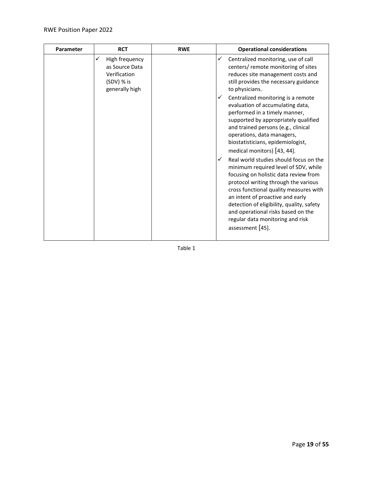| Parameter | <b>RCT</b>                                                                       | <b>RWE</b> | <b>Operational considerations</b>                                                                                                                                                                                                                                                                                                                                                             |  |  |
|-----------|----------------------------------------------------------------------------------|------------|-----------------------------------------------------------------------------------------------------------------------------------------------------------------------------------------------------------------------------------------------------------------------------------------------------------------------------------------------------------------------------------------------|--|--|
|           | High frequency<br>as Source Data<br>Verification<br>(SDV) % is<br>generally high |            | Centralized monitoring, use of call<br>✓<br>centers/remote monitoring of sites<br>reduces site management costs and<br>still provides the necessary guidance<br>to physicians.                                                                                                                                                                                                                |  |  |
|           |                                                                                  |            | Centralized monitoring is a remote<br>✓<br>evaluation of accumulating data,<br>performed in a timely manner,<br>supported by appropriately qualified<br>and trained persons (e.g., clinical<br>operations, data managers,<br>biostatisticians, epidemiologist,<br>medical monitors) [43, 44].                                                                                                 |  |  |
|           |                                                                                  |            | Real world studies should focus on the<br>✓<br>minimum required level of SDV, while<br>focusing on holistic data review from<br>protocol writing through the various<br>cross functional quality measures with<br>an intent of proactive and early<br>detection of eligibility, quality, safety<br>and operational risks based on the<br>regular data monitoring and risk<br>assessment [45]. |  |  |

Table 1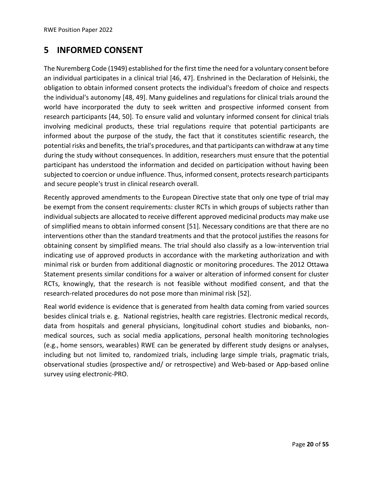## <span id="page-19-0"></span>**5 INFORMED CONSENT**

The Nuremberg Code (1949) established for the first time the need for a voluntary consent before an individual participates in a clinical trial [\[46,](#page-51-7) [47\]](#page-51-8). Enshrined in the Declaration of Helsinki, the obligation to obtain informed consent protects the individual's freedom of choice and respects the individual's autonomy [\[48,](#page-51-9) [49\]](#page-51-10). Many guidelines and regulations for clinical trials around the world have incorporated the duty to seek written and prospective informed consent from research participants [\[44,](#page-51-5) [50\]](#page-51-11). To ensure valid and voluntary informed consent for clinical trials involving medicinal products, these trial regulations require that potential participants are informed about the purpose of the study, the fact that it constitutes scientific research, the potential risks and benefits, the trial's procedures, and that participants can withdraw at any time during the study without consequences. ln addition, researchers must ensure that the potential participant has understood the information and decided on participation without having been subjected to coercion or undue influence. Thus, informed consent, protects research participants and secure people's trust in clinical research overall.

Recently approved amendments to the European Directive state that only one type of trial may be exempt from the consent requirements: cluster RCTs in which groups of subjects rather than individual subjects are allocated to receive different approved medicinal products may make use of simplified means to obtain informed consent [\[51\]](#page-51-12). Necessary conditions are that there are no interventions other than the standard treatments and that the protocol justifies the reasons for obtaining consent by simplified means. The trial should also classify as a low-intervention trial indicating use of approved products in accordance with the marketing authorization and with minimal risk or burden from additional diagnostic or monitoring procedures. The 2012 Ottawa Statement presents similar conditions for a waiver or alteration of informed consent for cluster RCTs, knowingly, that the research is not feasible without modified consent, and that the research-related procedures do not pose more than minimal risk [\[52\]](#page-51-13).

Real world evidence is evidence that is generated from health data coming from varied sources besides clinical trials e. g. National registries, health care registries. Electronic medical records, data from hospitals and general physicians, longitudinal cohort studies and biobanks, nonmedical sources, such as social media applications, personal health monitoring technologies (e.g., home sensors, wearables) RWE can be generated by different study designs or analyses, including but not limited to, randomized trials, including large simple trials, pragmatic trials, observational studies (prospective and/ or retrospective) and Web-based or App-based online survey using electronic-PRO.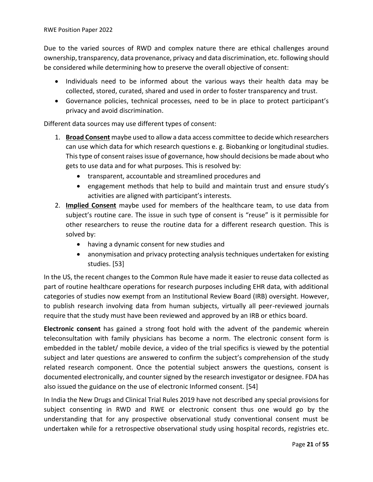Due to the varied sources of RWD and complex nature there are ethical challenges around ownership, transparency, data provenance, privacy and data discrimination, etc. following should be considered while determining how to preserve the overall objective of consent:

- Individuals need to be informed about the various ways their health data may be collected, stored, curated, shared and used in order to foster transparency and trust.
- Governance policies, technical processes, need to be in place to protect participant's privacy and avoid discrimination.

Different data sources may use different types of consent:

- 1. **Broad Consent** maybe used to allow a data access committee to decide which researchers can use which data for which research questions e. g. Biobanking or longitudinal studies. This type of consent raises issue of governance, how should decisions be made about who gets to use data and for what purposes. This is resolved by:
	- transparent, accountable and streamlined procedures and
	- engagement methods that help to build and maintain trust and ensure study's activities are aligned with participant's interests.
- 2. **Implied Consent** maybe used for members of the healthcare team, to use data from subject's routine care. The issue in such type of consent is "reuse" is it permissible for other researchers to reuse the routine data for a different research question. This is solved by:
	- having a dynamic consent for new studies and
	- anonymisation and privacy protecting analysis techniques undertaken for existing studies. [\[53\]](#page-52-1)

In the US, the recent changes to the Common Rule have made it easier to reuse data collected as part of routine healthcare operations for research purposes including EHR data, with additional categories of studies now exempt from an Institutional Review Board (IRB) oversight. However, to publish research involving data from human subjects, virtually all peer-reviewed journals require that the study must have been reviewed and approved by an IRB or ethics board.

**Electronic consent** has gained a strong foot hold with the advent of the pandemic wherein teleconsultation with family physicians has become a norm. The electronic consent form is embedded in the tablet/ mobile device, a video of the trial specifics is viewed by the potential subject and later questions are answered to confirm the subject's comprehension of the study related research component. Once the potential subject answers the questions, consent is documented electronically, and counter signed by the research investigator or designee. FDA has also issued the guidance on the use of electronic Informed consent. [\[54\]](#page-52-2)

In India the New Drugs and Clinical Trial Rules 2019 have not described any special provisions for subject consenting in RWD and RWE or electronic consent thus one would go by the understanding that for any prospective observational study conventional consent must be undertaken while for a retrospective observational study using hospital records, registries etc.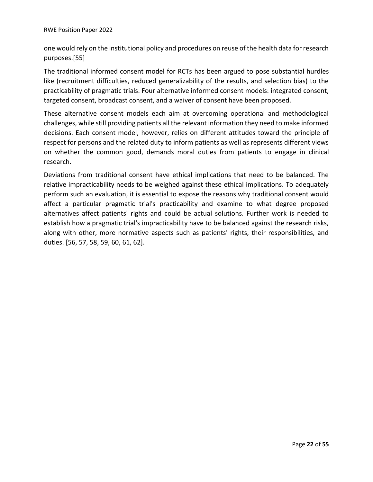one would rely on the institutional policy and procedures on reuse of the health data for research purposes.[\[55\]](#page-52-3)

The traditional informed consent model for RCTs has been argued to pose substantial hurdles like (recruitment difficulties, reduced generalizability of the results, and selection bias) to the practicability of pragmatic trials. Four alternative informed consent models: integrated consent, targeted consent, broadcast consent, and a waiver of consent have been proposed.

These alternative consent models each aim at overcoming operational and methodological challenges, while still providing patients all the relevant information they need to make informed decisions. Each consent model, however, relies on different attitudes toward the principle of respect for persons and the related duty to inform patients as well as represents different views on whether the common good, demands moral duties from patients to engage in clinical research.

Deviations from traditional consent have ethical implications that need to be balanced. The relative impracticability needs to be weighed against these ethical implications. To adequately perform such an evaluation, it is essential to expose the reasons why traditional consent would affect a particular pragmatic trial's practicability and examine to what degree proposed alternatives affect patients' rights and could be actual solutions. Further work is needed to establish how a pragmatic trial's impracticability have to be balanced against the research risks, along with other, more normative aspects such as patients' rights, their responsibilities, and duties. [\[56,](#page-52-4) [57,](#page-52-5) [58,](#page-52-6) [59,](#page-52-7) [60,](#page-52-8) [61,](#page-52-9) [62\]](#page-52-10).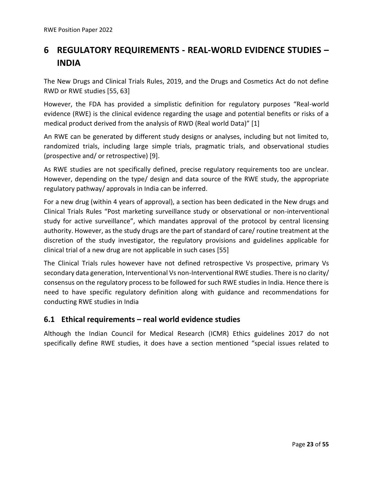# <span id="page-22-0"></span>**6 REGULATORY REQUIREMENTS - REAL-WORLD EVIDENCE STUDIES – INDIA**

The New Drugs and Clinical Trials Rules, 2019, and the Drugs and Cosmetics Act do not define RWD or RWE studies [\[55,](#page-52-3) [63\]](#page-52-11)

However, the FDA has provided a simplistic definition for regulatory purposes "Real-world evidence (RWE) is the clinical evidence regarding the usage and potential benefits or risks of a medical product derived from the analysis of RWD (Real world Data)" [\[1\]](#page-48-1)

An RWE can be generated by different study designs or analyses, including but not limited to, randomized trials, including large simple trials, pragmatic trials, and observational studies (prospective and/ or retrospective) [\[9\]](#page-48-9).

As RWE studies are not specifically defined, precise regulatory requirements too are unclear. However, depending on the type/ design and data source of the RWE study, the appropriate regulatory pathway/ approvals in India can be inferred.

For a new drug (within 4 years of approval), a section has been dedicated in the New drugs and Clinical Trials Rules "Post marketing surveillance study or observational or non-interventional study for active surveillance", which mandates approval of the protocol by central licensing authority. However, as the study drugs are the part of standard of care/ routine treatment at the discretion of the study investigator, the regulatory provisions and guidelines applicable for clinical trial of a new drug are not applicable in such cases [\[55\]](#page-52-3)

The Clinical Trials rules however have not defined retrospective Vs prospective, primary Vs secondary data generation, Interventional Vs non-Interventional RWE studies. There is no clarity/ consensus on the regulatory process to be followed for such RWE studies in India. Hence there is need to have specific regulatory definition along with guidance and recommendations for conducting RWE studies in India

### <span id="page-22-1"></span>**6.1 Ethical requirements – real world evidence studies**

Although the Indian Council for Medical Research (ICMR) Ethics guidelines 2017 do not specifically define RWE studies, it does have a section mentioned "special issues related to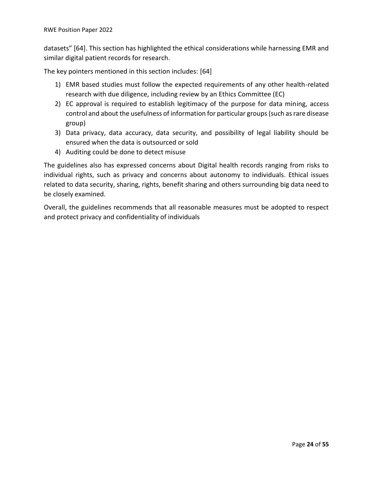datasets" [\[64\]](#page-52-0). This section has highlighted the ethical considerations while harnessing EMR and similar digital patient records for research.

The key pointers mentioned in this section includes: [\[64\]](#page-52-0)

- 1) EMR based studies must follow the expected requirements of any other health-related research with due diligence, including review by an Ethics Committee (EC)
- 2) EC approval is required to establish legitimacy of the purpose for data mining, access control and about the usefulness of information for particular groups (such as rare disease group)
- 3) Data privacy, data accuracy, data security, and possibility of legal liability should be ensured when the data is outsourced or sold
- 4) Auditing could be done to detect misuse

The guidelines also has expressed concerns about Digital health records ranging from risks to individual rights, such as privacy and concerns about autonomy to individuals. Ethical issues related to data security, sharing, rights, benefit sharing and others surrounding big data need to be closely examined.

Overall, the guidelines recommends that all reasonable measures must be adopted to respect and protect privacy and confidentiality of individuals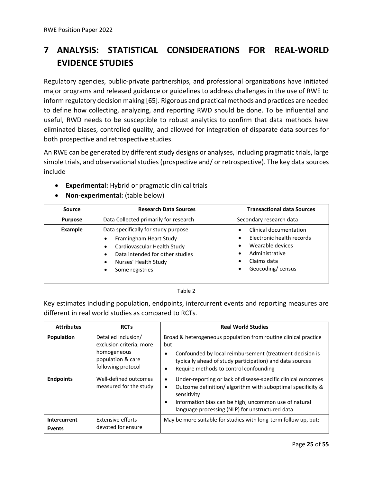# <span id="page-24-0"></span>**7 ANALYSIS: STATISTICAL CONSIDERATIONS FOR REAL-WORLD EVIDENCE STUDIES**

Regulatory agencies, public-private partnerships, and professional organizations have initiated major programs and released guidance or guidelines to address challenges in the use of RWE to inform regulatory decision making [\[65\]](#page-52-12). Rigorous and practical methods and practices are needed to define how collecting, analyzing, and reporting RWD should be done. To be influential and useful, RWD needs to be susceptible to robust analytics to confirm that data methods have eliminated biases, controlled quality, and allowed for integration of disparate data sources for both prospective and retrospective studies.

An RWE can be generated by different study designs or analyses, including pragmatic trials, large simple trials, and observational studies (prospective and/ or retrospective). The key data sources include

• **Experimental:** Hybrid or pragmatic clinical trials

| <b>Source</b>                                           | <b>Research Data Sources</b>                                                                                                                                                                              | <b>Transactional data Sources</b>                                                                                                         |
|---------------------------------------------------------|-----------------------------------------------------------------------------------------------------------------------------------------------------------------------------------------------------------|-------------------------------------------------------------------------------------------------------------------------------------------|
| Data Collected primarily for research<br><b>Purpose</b> |                                                                                                                                                                                                           | Secondary research data                                                                                                                   |
| Example                                                 | Data specifically for study purpose<br>Framingham Heart Study<br>Cardiovascular Health Study<br>$\bullet$<br>Data intended for other studies<br>Nurses' Health Study<br>٠<br>Some registries<br>$\bullet$ | Clinical documentation<br>Electronic health records<br>Wearable devices<br>$\bullet$<br>Administrative<br>Claims data<br>Geocoding/census |

• **Non-experimental:** (table below)

Table 2

Key estimates including population, endpoints, intercurrent events and reporting measures are different in real world studies as compared to RCTs.

| <b>Attributes</b>             | <b>RCTs</b>                                                                                               | <b>Real World Studies</b>                                                                                                                                                                                                                                             |
|-------------------------------|-----------------------------------------------------------------------------------------------------------|-----------------------------------------------------------------------------------------------------------------------------------------------------------------------------------------------------------------------------------------------------------------------|
| Population                    | Detailed inclusion/<br>exclusion criteria; more<br>homogeneous<br>population & care<br>following protocol | Broad & heterogeneous population from routine clinical practice<br>but:<br>Confounded by local reimbursement (treatment decision is<br>typically ahead of study participation) and data sources<br>Require methods to control confounding<br>٠                        |
| <b>Endpoints</b>              | Well-defined outcomes<br>measured for the study                                                           | Under-reporting or lack of disease-specific clinical outcomes<br>٠<br>Outcome definition/algorithm with suboptimal specificity &<br>٠<br>sensitivity<br>Information bias can be high; uncommon use of natural<br>٠<br>language processing (NLP) for unstructured data |
| Intercurrent<br><b>Events</b> | Extensive efforts<br>devoted for ensure                                                                   | May be more suitable for studies with long-term follow up, but:                                                                                                                                                                                                       |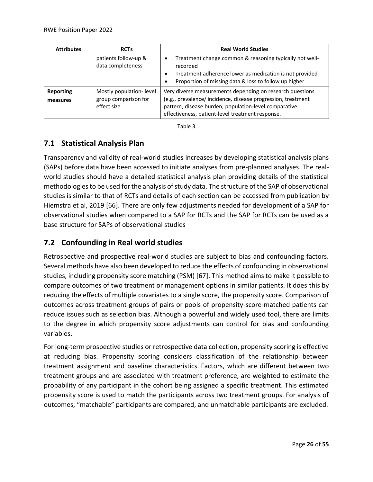| <b>Attributes</b>     | <b>RCTs</b>                                                    | <b>Real World Studies</b>                                                                                                                                                                                                             |  |
|-----------------------|----------------------------------------------------------------|---------------------------------------------------------------------------------------------------------------------------------------------------------------------------------------------------------------------------------------|--|
|                       | patients follow-up &<br>data completeness                      | Treatment change common & reasoning typically not well-<br>recorded<br>Treatment adherence lower as medication is not provided<br>Proportion of missing data & loss to follow up higher                                               |  |
| Reporting<br>measures | Mostly population-level<br>group comparison for<br>effect size | Very diverse measurements depending on research questions<br>(e.g., prevalence/incidence, disease progression, treatment<br>pattern, disease burden, population-level comparative<br>effectiveness, patient-level treatment response. |  |

Table 3

## <span id="page-25-0"></span>**7.1 Statistical Analysis Plan**

Transparency and validity of real-world studies increases by developing statistical analysis plans (SAPs) before data have been accessed to initiate analyses from pre-planned analyses. The realworld studies should have a detailed statistical analysis plan providing details of the statistical methodologies to be used for the analysis of study data. The structure of the SAP of observational studies is similar to that of RCTs and details of each section can be accessed from publication by Hiemstra et al, 2019 [\[66\]](#page-52-13). There are only few adjustments needed for development of a SAP for observational studies when compared to a SAP for RCTs and the SAP for RCTs can be used as a base structure for SAPs of observational studies

## <span id="page-25-1"></span>**7.2 Confounding in Real world studies**

Retrospective and prospective real-world studies are subject to bias and confounding factors. Several methods have also been developed to reduce the effects of confounding in observational studies, including propensity score matching (PSM) [\[67\]](#page-52-14). This method aims to make it possible to compare outcomes of two treatment or management options in similar patients. It does this by reducing the effects of multiple covariates to a single score, the propensity score. Comparison of outcomes across treatment groups of pairs or pools of propensity-score-matched patients can reduce issues such as selection bias. Although a powerful and widely used tool, there are limits to the degree in which propensity score adjustments can control for bias and confounding variables.

For long-term prospective studies or retrospective data collection, propensity scoring is effective at reducing bias. Propensity scoring considers classification of the relationship between treatment assignment and baseline characteristics. Factors, which are different between two treatment groups and are associated with treatment preference, are weighted to estimate the probability of any participant in the cohort being assigned a specific treatment. This estimated propensity score is used to match the participants across two treatment groups. For analysis of outcomes, "matchable" participants are compared, and unmatchable participants are excluded.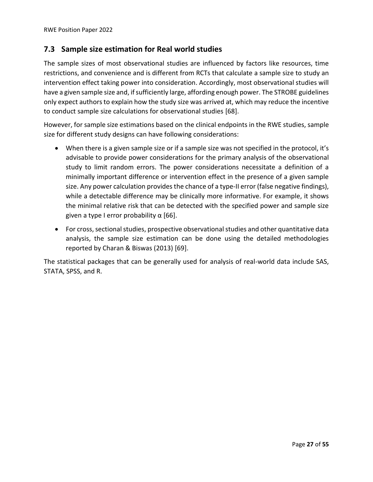### <span id="page-26-0"></span>**7.3 Sample size estimation for Real world studies**

The sample sizes of most observational studies are influenced by factors like resources, time restrictions, and convenience and is different from RCTs that calculate a sample size to study an intervention effect taking power into consideration. Accordingly, most observational studies will have a given sample size and, if sufficiently large, affording enough power. The STROBE guidelines only expect authors to explain how the study size was arrived at, which may reduce the incentive to conduct sample size calculations for observational studies [\[68\]](#page-53-0).

However, for sample size estimations based on the clinical endpoints in the RWE studies, sample size for different study designs can have following considerations:

- When there is a given sample size or if a sample size was not specified in the protocol, it's advisable to provide power considerations for the primary analysis of the observational study to limit random errors. The power considerations necessitate a definition of a minimally important difference or intervention effect in the presence of a given sample size. Any power calculation provides the chance of a type-II error (false negative findings), while a detectable difference may be clinically more informative. For example, it shows the minimal relative risk that can be detected with the specified power and sample size given a type I error probability  $\alpha$  [\[66\]](#page-52-13).
- For cross, sectional studies, prospective observational studies and other quantitative data analysis, the sample size estimation can be done using the detailed methodologies reported by Charan & Biswas (2013) [\[69\]](#page-53-1).

The statistical packages that can be generally used for analysis of real-world data include SAS, STATA, SPSS, and R.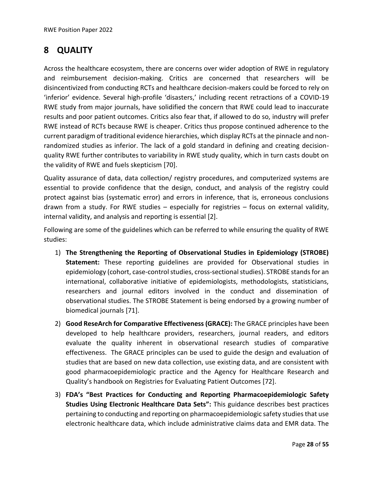## <span id="page-27-0"></span>**8 QUALITY**

Across the healthcare ecosystem, there are concerns over wider adoption of RWE in regulatory and reimbursement decision-making. Critics are concerned that researchers will be disincentivized from conducting RCTs and healthcare decision-makers could be forced to rely on 'inferior' evidence. Several high-profile 'disasters,' including recent retractions of a COVID-19 RWE study from major journals, have solidified the concern that RWE could lead to inaccurate results and poor patient outcomes. Critics also fear that, if allowed to do so, industry will prefer RWE instead of RCTs because RWE is cheaper. Critics thus propose continued adherence to the current paradigm of traditional evidence hierarchies, which display RCTs at the pinnacle and nonrandomized studies as inferior. The lack of a gold standard in defining and creating decisionquality RWE further contributes to variability in RWE study quality, which in turn casts doubt on the validity of RWE and fuels skepticism [\[70\]](#page-53-2).

Quality assurance of data, data collection/ registry procedures, and computerized systems are essential to provide confidence that the design, conduct, and analysis of the registry could protect against bias (systematic error) and errors in inference, that is, erroneous conclusions drawn from a study. For RWE studies – especially for registries – focus on external validity, internal validity, and analysis and reporting is essential [\[2\]](#page-48-2).

Following are some of the guidelines which can be referred to while ensuring the quality of RWE studies:

- 1) **The Strengthening the Reporting of Observational Studies in Epidemiology (STROBE) Statement:** These reporting guidelines are provided for Observational studies in epidemiology (cohort, case-control studies, cross-sectional studies). STROBE stands for an international, collaborative initiative of epidemiologists, methodologists, statisticians, researchers and journal editors involved in the conduct and dissemination of observational studies. The STROBE Statement is being endorsed by a growing number of biomedical journals [\[71\]](#page-53-3).
- 2) **Good ReseArch for Comparative Effectiveness (GRACE):** The GRACE principles have been developed to help healthcare providers, researchers, journal readers, and editors evaluate the quality inherent in observational research studies of comparative effectiveness. The GRACE principles can be used to guide the design and evaluation of studies that are based on new data collection, use existing data, and are consistent with good pharmacoepidemiologic practice and the Agency for Healthcare Research and Quality's handbook on Registries for Evaluating Patient Outcomes [\[72\]](#page-53-4).
- 3) **FDA's "Best Practices for Conducting and Reporting Pharmacoepidemiologic Safety Studies Using Electronic Healthcare Data Sets":** This guidance describes best practices pertaining to conducting and reporting on pharmacoepidemiologic safety studies that use electronic healthcare data, which include administrative claims data and EMR data. The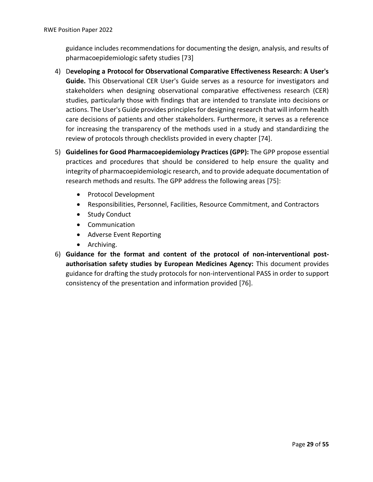guidance includes recommendations for documenting the design, analysis, and results of pharmacoepidemiologic safety studies [\[73\]](#page-53-5)

- 4) D**eveloping a Protocol for Observational Comparative Effectiveness Research: A User's Guide.** This Observational CER User's Guide serves as a resource for investigators and stakeholders when designing observational comparative effectiveness research (CER) studies, particularly those with findings that are intended to translate into decisions or actions. The User's Guide provides principles for designing research that will inform health care decisions of patients and other stakeholders. Furthermore, it serves as a reference for increasing the transparency of the methods used in a study and standardizing the review of protocols through checklists provided in every chapter [\[74\]](#page-53-6).
- 5) **Guidelines for Good Pharmacoepidemiology Practices (GPP):** The GPP propose essential practices and procedures that should be considered to help ensure the quality and integrity of pharmacoepidemiologic research, and to provide adequate documentation of research methods and results. The GPP address the following areas [\[75\]](#page-53-7):
	- Protocol Development
	- Responsibilities, Personnel, Facilities, Resource Commitment, and Contractors
	- Study Conduct
	- Communication
	- Adverse Event Reporting
	- Archiving.
- 6) **Guidance for the format and content of the protocol of non-interventional postauthorisation safety studies by European Medicines Agency:** This document provides guidance for drafting the study protocols for non-interventional PASS in order to support consistency of the presentation and information provided [\[76\]](#page-53-8).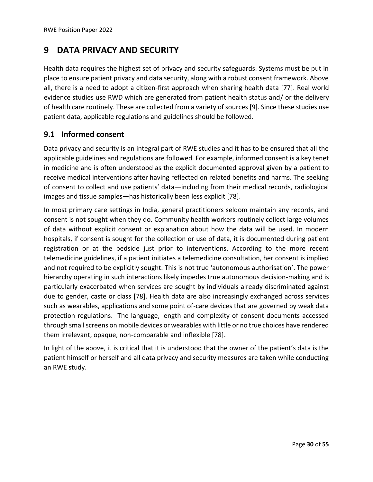## <span id="page-29-0"></span>**9 DATA PRIVACY AND SECURITY**

Health data requires the highest set of privacy and security safeguards. Systems must be put in place to ensure patient privacy and data security, along with a robust consent framework. Above all, there is a need to adopt a citizen-first approach when sharing health data [\[77\]](#page-53-9). Real world evidence studies use RWD which are generated from patient health status and/ or the delivery of health care routinely. These are collected from a variety of sources [\[9\]](#page-48-9). Since these studies use patient data, applicable regulations and guidelines should be followed.

### <span id="page-29-1"></span>**9.1 Informed consent**

Data privacy and security is an integral part of RWE studies and it has to be ensured that all the applicable guidelines and regulations are followed. For example, informed consent is a key tenet in medicine and is often understood as the explicit documented approval given by a patient to receive medical interventions after having reflected on related benefits and harms. The seeking of consent to collect and use patients' data—including from their medical records, radiological images and tissue samples—has historically been less explicit [\[78\]](#page-54-0).

In most primary care settings in India, general practitioners seldom maintain any records, and consent is not sought when they do. Community health workers routinely collect large volumes of data without explicit consent or explanation about how the data will be used. In modern hospitals, if consent is sought for the collection or use of data, it is documented during patient registration or at the bedside just prior to interventions. According to the more recent telemedicine guidelines, if a patient initiates a telemedicine consultation, her consent is implied and not required to be explicitly sought. This is not true 'autonomous authorisation'. The power hierarchy operating in such interactions likely impedes true autonomous decision-making and is particularly exacerbated when services are sought by individuals already discriminated against due to gender, caste or class [\[78\]](#page-54-0). Health data are also increasingly exchanged across services such as wearables, applications and some point of-care devices that are governed by weak data protection regulations. The language, length and complexity of consent documents accessed through small screens on mobile devices or wearables with little or no true choices have rendered them irrelevant, opaque, non-comparable and inflexible [\[78\]](#page-54-0).

In light of the above, it is critical that it is understood that the owner of the patient's data is the patient himself or herself and all data privacy and security measures are taken while conducting an RWE study.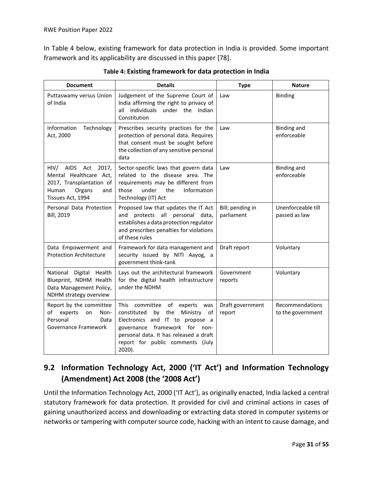In [Table 4](#page-30-1) below, existing framework for data protection in India is provided. Some important framework and its applicability are discussed in this paper [\[78\]](#page-54-0).

<span id="page-30-1"></span>

| <b>Document</b>                                                                                                                   | <b>Details</b>                                                                                                                                                                                                                                   | <b>Type</b>                    | <b>Nature</b>                        |  |
|-----------------------------------------------------------------------------------------------------------------------------------|--------------------------------------------------------------------------------------------------------------------------------------------------------------------------------------------------------------------------------------------------|--------------------------------|--------------------------------------|--|
| Puttaswamy versus Union<br>of India                                                                                               | Judgement of the Supreme Court of<br>India affirming the right to privacy of<br>individuals under the Indian<br>all<br>Constitution                                                                                                              | Law                            | <b>Binding</b>                       |  |
| Information<br>Technology<br>Act, 2000                                                                                            | Prescribes security practices for the<br>protection of personal data. Requires<br>that consent must be sought before<br>the collection of any sensitive personal<br>data                                                                         | Law                            | <b>Binding and</b><br>enforceable    |  |
| AIDS<br>Act<br>HIV/<br>2017,<br>Mental Healthcare Act,<br>2017, Transplantation of<br>Human<br>Organs<br>and<br>Tissues Act, 1994 | Sector-specific laws that govern data<br>related to the disease area. The<br>requirements may be different from<br>under<br>Information<br>those<br>the<br>Technology (IT) Act                                                                   | Law                            | <b>Binding and</b><br>enforceable    |  |
| Personal Data Protection<br><b>Bill, 2019</b>                                                                                     | Proposed law that updates the IT Act<br>and protects all personal data,<br>establishes a data protection regulator<br>and prescribes penalties for violations<br>of these rules                                                                  | Bill; pending in<br>parliament | Unenforceable till<br>passed as law  |  |
| Data Empowerment and<br><b>Protection Architecture</b>                                                                            | Framework for data management and<br>security issued by NITI Aayog, a<br>government think-tank                                                                                                                                                   | Draft report                   | Voluntary                            |  |
| National Digital Health<br>Blueprint, NDHM Health<br>Data Management Policy,<br>NDHM strategy overview                            | Lays out the architectural framework<br>for the digital health infrastructure<br>under the NDHM                                                                                                                                                  | Government<br>reports          | Voluntary                            |  |
| Report by the committee<br>of<br>experts<br>on<br>Non-<br>Personal<br>Data<br>Governance Framework                                | This<br>committee<br>of<br>experts<br>was<br>the<br>Ministry of<br>constituted<br>by<br>Electronics and IT to propose a<br>governance framework for non-<br>personal data. It has released a draft<br>report for public comments (July<br>2020). | Draft government<br>report     | Recommendations<br>to the government |  |

**Table 4: Existing framework for data protection in India**

## <span id="page-30-0"></span>**9.2 Information Technology Act, 2000 ('IT Act') and Information Technology (Amendment) Act 2008 (the '2008 Act')**

Until the Information Technology Act, 2000 ('IT Act'), as originally enacted, India lacked a central statutory framework for data protection. It provided for civil and criminal actions in cases of gaining unauthorized access and downloading or extracting data stored in computer systems or networks or tampering with computer source code, hacking with an intent to cause damage, and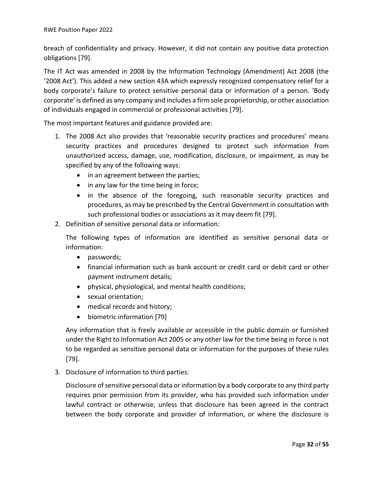breach of confidentiality and privacy. However, it did not contain any positive data protection obligations [\[79\]](#page-54-1).

The IT Act was amended in 2008 by the Information Technology (Amendment) Act 2008 (the '2008 Act'). This added a new section 43A which expressly recognized compensatory relief for a body corporate's failure to protect sensitive personal data or information of a person. 'Body corporate' is defined as any company and includes a firm sole proprietorship, or other association of individuals engaged in commercial or professional activities [\[79\]](#page-54-1).

The most important features and guidance provided are:

- 1. The 2008 Act also provides that 'reasonable security practices and procedures' means security practices and procedures designed to protect such information from unauthorized access, damage, use, modification, disclosure, or impairment, as may be specified by any of the following ways:
	- in an agreement between the parties;
	- in any law for the time being in force;
	- in the absence of the foregoing, such reasonable security practices and procedures, as may be prescribed by the Central Government in consultation with such professional bodies or associations as it may deem fit [\[79\]](#page-54-1).
- 2. Definition of sensitive personal data or information:

The following types of information are identified as sensitive personal data or information:

- passwords;
- financial information such as bank account or credit card or debit card or other payment instrument details;
- physical, physiological, and mental health conditions;
- sexual orientation;
- medical records and history;
- biometric information [\[79\]](#page-54-1)

Any information that is freely available or accessible in the public domain or furnished under the Right to Information Act 2005 or any other law for the time being in force is not to be regarded as sensitive personal data or information for the purposes of these rules [\[79\]](#page-54-1).

3. Disclosure of information to third parties:

Disclosure of sensitive personal data or information by a body corporate to any third party requires prior permission from its provider, who has provided such information under lawful contract or otherwise, unless that disclosure has been agreed in the contract between the body corporate and provider of information, or where the disclosure is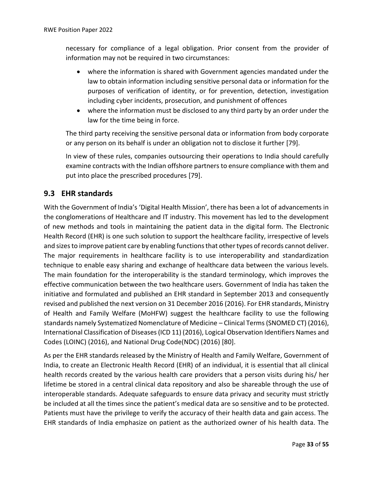necessary for compliance of a legal obligation. Prior consent from the provider of information may not be required in two circumstances:

- where the information is shared with Government agencies mandated under the law to obtain information including sensitive personal data or information for the purposes of verification of identity, or for prevention, detection, investigation including cyber incidents, prosecution, and punishment of offences
- where the information must be disclosed to any third party by an order under the law for the time being in force.

The third party receiving the sensitive personal data or information from body corporate or any person on its behalf is under an obligation not to disclose it further [\[79\]](#page-54-1).

In view of these rules, companies outsourcing their operations to India should carefully examine contracts with the Indian offshore partners to ensure compliance with them and put into place the prescribed procedures [\[79\]](#page-54-1).

## <span id="page-32-0"></span>**9.3 EHR standards**

With the Government of India's 'Digital Health Mission', there has been a lot of advancements in the conglomerations of Healthcare and IT industry. This movement has led to the development of new methods and tools in maintaining the patient data in the digital form. The Electronic Health Record (EHR) is one such solution to support the healthcare facility, irrespective of levels and sizes to improve patient care by enabling functions that other types of records cannot deliver. The major requirements in healthcare facility is to use interoperability and standardization technique to enable easy sharing and exchange of healthcare data between the various levels. The main foundation for the interoperability is the standard terminology, which improves the effective communication between the two healthcare users. Government of India has taken the initiative and formulated and published an EHR standard in September 2013 and consequently revised and published the next version on 31 December 2016 (2016). For EHR standards, Ministry of Health and Family Welfare (MoHFW) suggest the healthcare facility to use the following standards namely Systematized Nomenclature of Medicine – Clinical Terms (SNOMED CT) (2016), International Classification of Diseases (ICD 11) (2016), Logical Observation Identifiers Names and Codes (LOINC) (2016), and National Drug Code(NDC) (2016) [\[80\]](#page-54-2).

As per the EHR standards released by the Ministry of Health and Family Welfare, Government of India, to create an Electronic Health Record (EHR) of an individual, it is essential that all clinical health records created by the various health care providers that a person visits during his/ her lifetime be stored in a central clinical data repository and also be shareable through the use of interoperable standards. Adequate safeguards to ensure data privacy and security must strictly be included at all the times since the patient's medical data are so sensitive and to be protected. Patients must have the privilege to verify the accuracy of their health data and gain access. The EHR standards of India emphasize on patient as the authorized owner of his health data. The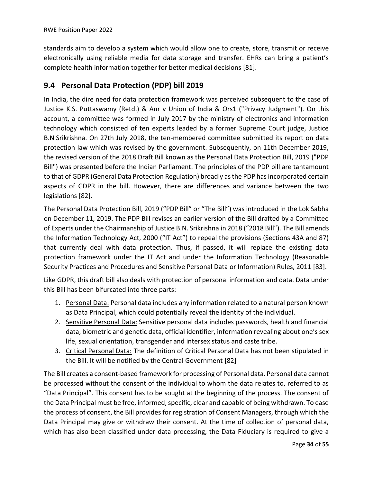standards aim to develop a system which would allow one to create, store, transmit or receive electronically using reliable media for data storage and transfer. EHRs can bring a patient's complete health information together for better medical decisions [\[81\]](#page-54-3).

## <span id="page-33-0"></span>**9.4 Personal Data Protection (PDP) bill 2019**

In India, the dire need for data protection framework was perceived subsequent to the case of Justice K.S. Puttaswamy (Retd.) & Anr v Union of India & Ors1 ("Privacy Judgment"). On this account, a committee was formed in July 2017 by the ministry of electronics and information technology which consisted of ten experts leaded by a former Supreme Court judge, Justice B.N Srikrishna. On 27th July 2018, the ten-membered committee submitted its report on data protection law which was revised by the government. Subsequently, on 11th December 2019, the revised version of the 2018 Draft Bill known as the Personal Data Protection Bill, 2019 ("PDP Bill") was presented before the Indian Parliament. The principles of the PDP bill are tantamount to that of GDPR (General Data Protection Regulation) broadly as the PDP has incorporated certain aspects of GDPR in the bill. However, there are differences and variance between the two legislations [\[82\]](#page-54-4).

The Personal Data Protection Bill, 2019 ("PDP Bill" or "The Bill") was introduced in the Lok Sabha on December 11, 2019. The PDP Bill revises an earlier version of the Bill drafted by a Committee of Experts under the Chairmanship of Justice B.N. Srikrishna in 2018 ("2018 Bill"). The Bill amends the Information Technology Act, 2000 ("IT Act") to repeal the provisions (Sections 43A and 87) that currently deal with data protection. Thus, if passed, it will replace the existing data protection framework under the IT Act and under the Information Technology (Reasonable Security Practices and Procedures and Sensitive Personal Data or Information) Rules, 2011 [\[83\]](#page-54-5).

Like GDPR, this draft bill also deals with protection of personal information and data. Data under this Bill has been bifurcated into three parts:

- 1. Personal Data: Personal data includes any information related to a natural person known as Data Principal, which could potentially reveal the identity of the individual.
- 2. Sensitive Personal Data: Sensitive personal data includes passwords, health and financial data, biometric and genetic data, official identifier, information revealing about one's sex life, sexual orientation, transgender and intersex status and caste tribe.
- 3. Critical Personal Data: The definition of Critical Personal Data has not been stipulated in the Bill. It will be notified by the Central Government [\[82\]](#page-54-4)

The Bill creates a consent-based framework for processing of Personal data. Personal data cannot be processed without the consent of the individual to whom the data relates to, referred to as "Data Principal". This consent has to be sought at the beginning of the process. The consent of the Data Principal must be free, informed, specific, clear and capable of being withdrawn. To ease the process of consent, the Bill provides for registration of Consent Managers, through which the Data Principal may give or withdraw their consent. At the time of collection of personal data, which has also been classified under data processing, the Data Fiduciary is required to give a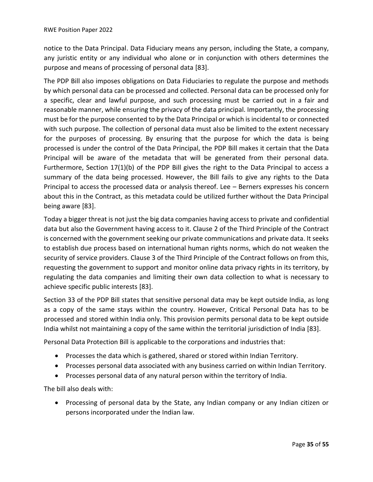notice to the Data Principal. Data Fiduciary means any person, including the State, a company, any juristic entity or any individual who alone or in conjunction with others determines the purpose and means of processing of personal data [\[83\]](#page-54-5).

The PDP Bill also imposes obligations on Data Fiduciaries to regulate the purpose and methods by which personal data can be processed and collected. Personal data can be processed only for a specific, clear and lawful purpose, and such processing must be carried out in a fair and reasonable manner, while ensuring the privacy of the data principal. Importantly, the processing must be for the purpose consented to by the Data Principal or which is incidental to or connected with such purpose. The collection of personal data must also be limited to the extent necessary for the purposes of processing. By ensuring that the purpose for which the data is being processed is under the control of the Data Principal, the PDP Bill makes it certain that the Data Principal will be aware of the metadata that will be generated from their personal data. Furthermore, Section 17(1)(b) of the PDP Bill gives the right to the Data Principal to access a summary of the data being processed. However, the Bill fails to give any rights to the Data Principal to access the processed data or analysis thereof. Lee – Berners expresses his concern about this in the Contract, as this metadata could be utilized further without the Data Principal being aware [\[83\]](#page-54-5).

Today a bigger threat is not just the big data companies having access to private and confidential data but also the Government having access to it. Clause 2 of the Third Principle of the Contract is concerned with the government seeking our private communications and private data. It seeks to establish due process based on international human rights norms, which do not weaken the security of service providers. Clause 3 of the Third Principle of the Contract follows on from this, requesting the government to support and monitor online data privacy rights in its territory, by regulating the data companies and limiting their own data collection to what is necessary to achieve specific public interests [\[83\]](#page-54-5).

Section 33 of the PDP Bill states that sensitive personal data may be kept outside India, as long as a copy of the same stays within the country. However, Critical Personal Data has to be processed and stored within India only. This provision permits personal data to be kept outside India whilst not maintaining a copy of the same within the territorial jurisdiction of India [\[83\]](#page-54-5).

Personal Data Protection Bill is applicable to the corporations and industries that:

- Processes the data which is gathered, shared or stored within Indian Territory.
- Processes personal data associated with any business carried on within Indian Territory.
- Processes personal data of any natural person within the territory of India.

The bill also deals with:

• Processing of personal data by the State, any Indian company or any Indian citizen or persons incorporated under the Indian law.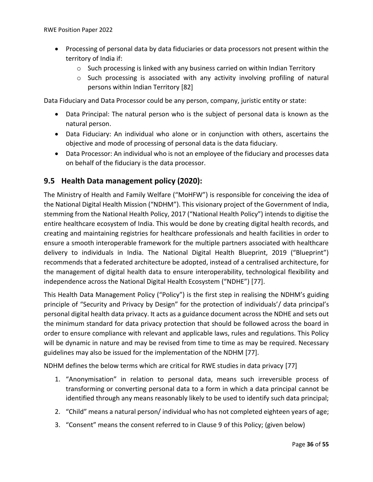- Processing of personal data by data fiduciaries or data processors not present within the territory of India if:
	- $\circ$  Such processing is linked with any business carried on within Indian Territory
	- $\circ$  Such processing is associated with any activity involving profiling of natural persons within Indian Territory [\[82\]](#page-54-4)

Data Fiduciary and Data Processor could be any person, company, juristic entity or state:

- Data Principal: The natural person who is the subject of personal data is known as the natural person.
- Data Fiduciary: An individual who alone or in conjunction with others, ascertains the objective and mode of processing of personal data is the data fiduciary.
- Data Processor: An individual who is not an employee of the fiduciary and processes data on behalf of the fiduciary is the data processor.

## <span id="page-35-0"></span>**9.5 Health Data management policy (2020):**

The Ministry of Health and Family Welfare ("MoHFW") is responsible for conceiving the idea of the National Digital Health Mission ("NDHM"). This visionary project of the Government of India, stemming from the National Health Policy, 2017 ("National Health Policy") intends to digitise the entire healthcare ecosystem of India. This would be done by creating digital health records, and creating and maintaining registries for healthcare professionals and health facilities in order to ensure a smooth interoperable framework for the multiple partners associated with healthcare delivery to individuals in India. The National Digital Health Blueprint, 2019 ("Blueprint") recommends that a federated architecture be adopted, instead of a centralised architecture, for the management of digital health data to ensure interoperability, technological flexibility and independence across the National Digital Health Ecosystem ("NDHE") [\[77\]](#page-53-9).

This Health Data Management Policy ("Policy") is the first step in realising the NDHM's guiding principle of "Security and Privacy by Design" for the protection of individuals'/ data principal's personal digital health data privacy. It acts as a guidance document across the NDHE and sets out the minimum standard for data privacy protection that should be followed across the board in order to ensure compliance with relevant and applicable laws, rules and regulations. This Policy will be dynamic in nature and may be revised from time to time as may be required. Necessary guidelines may also be issued for the implementation of the NDHM [\[77\]](#page-53-9).

NDHM defines the below terms which are critical for RWE studies in data privacy [\[77\]](#page-53-9)

- 1. "Anonymisation" in relation to personal data, means such irreversible process of transforming or converting personal data to a form in which a data principal cannot be identified through any means reasonably likely to be used to identify such data principal;
- 2. "Child" means a natural person/ individual who has not completed eighteen years of age;
- 3. "Consent" means the consent referred to in Clause 9 of this Policy; (given below)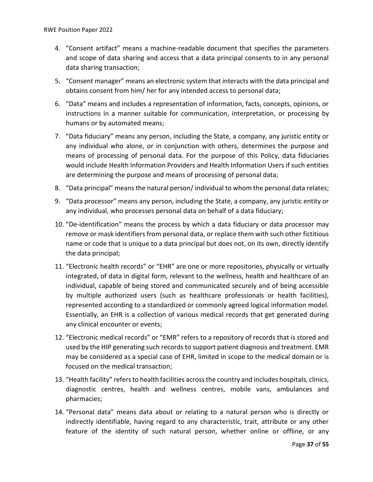- 4. "Consent artifact" means a machine-readable document that specifies the parameters and scope of data sharing and access that a data principal consents to in any personal data sharing transaction;
- 5. "Consent manager" means an electronic system that interacts with the data principal and obtains consent from him/ her for any intended access to personal data;
- 6. "Data" means and includes a representation of information, facts, concepts, opinions, or instructions in a manner suitable for communication, interpretation, or processing by humans or by automated means;
- 7. "Data fiduciary" means any person, including the State, a company, any juristic entity or any individual who alone, or in conjunction with others, determines the purpose and means of processing of personal data. For the purpose of this Policy, data fiduciaries would include Health Information Providers and Health Information Users if such entities are determining the purpose and means of processing of personal data;
- 8. "Data principal" means the natural person/ individual to whom the personal data relates;
- 9. "Data processor" means any person, including the State, a company, any juristic entity or any individual, who processes personal data on behalf of a data fiduciary;
- 10. "De-identification" means the process by which a data fiduciary or data processor may remove or mask identifiers from personal data, or replace them with such other fictitious name or code that is unique to a data principal but does not, on its own, directly identify the data principal;
- 11. "Electronic health records" or "EHR" are one or more repositories, physically or virtually integrated, of data in digital form, relevant to the wellness, health and healthcare of an individual, capable of being stored and communicated securely and of being accessible by multiple authorized users (such as healthcare professionals or health facilities), represented according to a standardized or commonly agreed logical information model. Essentially, an EHR is a collection of various medical records that get generated during any clinical encounter or events;
- 12. "Electronic medical records" or "EMR" refers to a repository of records that is stored and used by the HIP generating such records to support patient diagnosis and treatment. EMR may be considered as a special case of EHR, limited in scope to the medical domain or is focused on the medical transaction;
- 13. "Health facility" refers to health facilities across the country and includes hospitals, clinics, diagnostic centres, health and wellness centres, mobile vans, ambulances and pharmacies;
- 14. "Personal data" means data about or relating to a natural person who is directly or indirectly identifiable, having regard to any characteristic, trait, attribute or any other feature of the identity of such natural person, whether online or offline, or any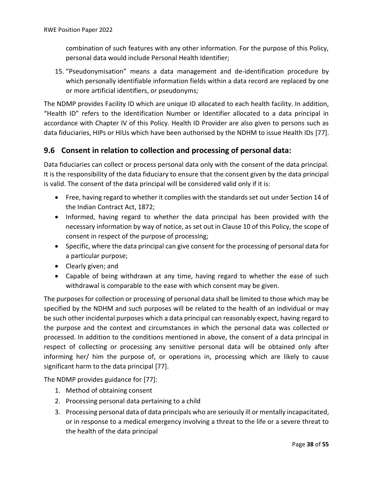combination of such features with any other information. For the purpose of this Policy, personal data would include Personal Health Identifier;

15. "Pseudonymisation" means a data management and de-identification procedure by which personally identifiable information fields within a data record are replaced by one or more artificial identifiers, or pseudonyms;

The NDMP provides Facility ID which are unique ID allocated to each health facility. In addition, "Health ID" refers to the Identification Number or Identifier allocated to a data principal in accordance with Chapter IV of this Policy. Health ID Provider are also given to persons such as data fiduciaries, HIPs or HIUs which have been authorised by the NDHM to issue Health IDs [\[77\]](#page-53-9).

### <span id="page-37-0"></span>**9.6 Consent in relation to collection and processing of personal data:**

Data fiduciaries can collect or process personal data only with the consent of the data principal. It is the responsibility of the data fiduciary to ensure that the consent given by the data principal is valid. The consent of the data principal will be considered valid only if it is:

- Free, having regard to whether it complies with the standards set out under Section 14 of the Indian Contract Act, 1872;
- Informed, having regard to whether the data principal has been provided with the necessary information by way of notice, as set out in Clause 10 of this Policy, the scope of consent in respect of the purpose of processing;
- Specific, where the data principal can give consent for the processing of personal data for a particular purpose;
- Clearly given; and
- Capable of being withdrawn at any time, having regard to whether the ease of such withdrawal is comparable to the ease with which consent may be given.

The purposes for collection or processing of personal data shall be limited to those which may be specified by the NDHM and such purposes will be related to the health of an individual or may be such other incidental purposes which a data principal can reasonably expect, having regard to the purpose and the context and circumstances in which the personal data was collected or processed. In addition to the conditions mentioned in above, the consent of a data principal in respect of collecting or processing any sensitive personal data will be obtained only after informing her/ him the purpose of, or operations in, processing which are likely to cause significant harm to the data principal [\[77\]](#page-53-9).

The NDMP provides guidance for [\[77\]](#page-53-9):

- 1. Method of obtaining consent
- 2. Processing personal data pertaining to a child
- 3. Processing personal data of data principals who are seriously ill or mentally incapacitated, or in response to a medical emergency involving a threat to the life or a severe threat to the health of the data principal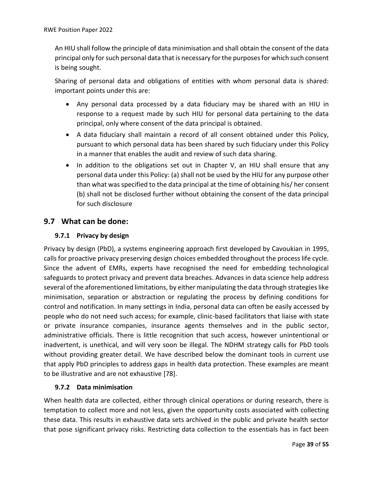An HIU shall follow the principle of data minimisation and shall obtain the consent of the data principal only for such personal data that is necessary for the purposes for which such consent is being sought.

Sharing of personal data and obligations of entities with whom personal data is shared: important points under this are:

- Any personal data processed by a data fiduciary may be shared with an HIU in response to a request made by such HIU for personal data pertaining to the data principal, only where consent of the data principal is obtained.
- A data fiduciary shall maintain a record of all consent obtained under this Policy, pursuant to which personal data has been shared by such fiduciary under this Policy in a manner that enables the audit and review of such data sharing.
- In addition to the obligations set out in Chapter V, an HIU shall ensure that any personal data under this Policy: (a) shall not be used by the HIU for any purpose other than what was specified to the data principal at the time of obtaining his/ her consent (b) shall not be disclosed further without obtaining the consent of the data principal for such disclosure

### <span id="page-38-0"></span>**9.7 What can be done:**

### <span id="page-38-1"></span>**9.7.1 Privacy by design**

Privacy by design (PbD), a systems engineering approach first developed by Cavoukian in 1995, calls for proactive privacy preserving design choices embedded throughout the process life cycle. Since the advent of EMRs, experts have recognised the need for embedding technological safeguards to protect privacy and prevent data breaches. Advances in data science help address several of the aforementioned limitations, by either manipulating the data through strategies like minimisation, separation or abstraction or regulating the process by defining conditions for control and notification. In many settings in India, personal data can often be easily accessed by people who do not need such access; for example, clinic-based facilitators that liaise with state or private insurance companies, insurance agents themselves and in the public sector, administrative officials. There is little recognition that such access, however unintentional or inadvertent, is unethical, and will very soon be illegal. The NDHM strategy calls for PbD tools without providing greater detail. We have described below the dominant tools in current use that apply PbD principles to address gaps in health data protection. These examples are meant to be illustrative and are not exhaustive [\[78\]](#page-54-0).

### <span id="page-38-2"></span>**9.7.2 Data minimisation**

When health data are collected, either through clinical operations or during research, there is temptation to collect more and not less, given the opportunity costs associated with collecting these data. This results in exhaustive data sets archived in the public and private health sector that pose significant privacy risks. Restricting data collection to the essentials has in fact been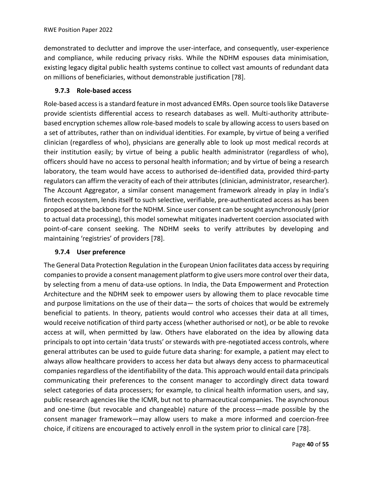demonstrated to declutter and improve the user-interface, and consequently, user-experience and compliance, while reducing privacy risks. While the NDHM espouses data minimisation, existing legacy digital public health systems continue to collect vast amounts of redundant data on millions of beneficiaries, without demonstrable justification [\[78\]](#page-54-0).

### <span id="page-39-0"></span>**9.7.3 Role-based access**

Role-based access is a standard feature in most advanced EMRs. Open source tools like Dataverse provide scientists differential access to research databases as well. Multi-authority attributebased encryption schemes allow role-based models to scale by allowing access to users based on a set of attributes, rather than on individual identities. For example, by virtue of being a verified clinician (regardless of who), physicians are generally able to look up most medical records at their institution easily; by virtue of being a public health administrator (regardless of who), officers should have no access to personal health information; and by virtue of being a research laboratory, the team would have access to authorised de-identified data, provided third-party regulators can affirm the veracity of each of their attributes (clinician, administrator, researcher). The Account Aggregator, a similar consent management framework already in play in India's fintech ecosystem, lends itself to such selective, verifiable, pre-authenticated access as has been proposed at the backbone for the NDHM. Since user consent can be sought asynchronously (prior to actual data processing), this model somewhat mitigates inadvertent coercion associated with point-of-care consent seeking. The NDHM seeks to verify attributes by developing and maintaining 'registries' of providers [\[78\]](#page-54-0).

#### <span id="page-39-1"></span>**9.7.4 User preference**

The General Data Protection Regulation in the European Union facilitates data access by requiring companies to provide a consent management platform to give users more control over their data, by selecting from a menu of data-use options. In India, the Data Empowerment and Protection Architecture and the NDHM seek to empower users by allowing them to place revocable time and purpose limitations on the use of their data— the sorts of choices that would be extremely beneficial to patients. In theory, patients would control who accesses their data at all times, would receive notification of third party access (whether authorised or not), or be able to revoke access at will, when permitted by law. Others have elaborated on the idea by allowing data principals to opt into certain 'data trusts' or stewards with pre-negotiated access controls, where general attributes can be used to guide future data sharing: for example, a patient may elect to always allow healthcare providers to access her data but always deny access to pharmaceutical companies regardless of the identifiability of the data. This approach would entail data principals communicating their preferences to the consent manager to accordingly direct data toward select categories of data processers; for example, to clinical health information users, and say, public research agencies like the ICMR, but not to pharmaceutical companies. The asynchronous and one-time (but revocable and changeable) nature of the process—made possible by the consent manager framework—may allow users to make a more informed and coercion-free choice, if citizens are encouraged to actively enroll in the system prior to clinical care [\[78\]](#page-54-0).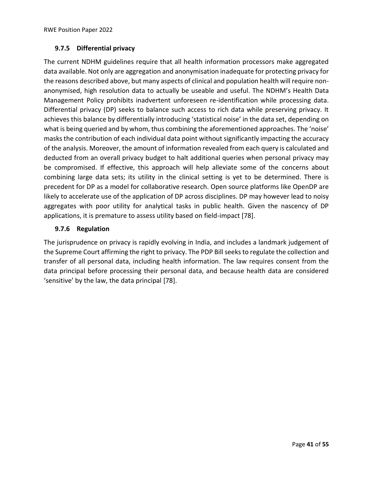#### <span id="page-40-0"></span>**9.7.5 Differential privacy**

The current NDHM guidelines require that all health information processors make aggregated data available. Not only are aggregation and anonymisation inadequate for protecting privacy for the reasons described above, but many aspects of clinical and population health will require nonanonymised, high resolution data to actually be useable and useful. The NDHM's Health Data Management Policy prohibits inadvertent unforeseen re-identification while processing data. Differential privacy (DP) seeks to balance such access to rich data while preserving privacy. It achieves this balance by differentially introducing 'statistical noise' in the data set, depending on what is being queried and by whom, thus combining the aforementioned approaches. The 'noise' masks the contribution of each individual data point without significantly impacting the accuracy of the analysis. Moreover, the amount of information revealed from each query is calculated and deducted from an overall privacy budget to halt additional queries when personal privacy may be compromised. If effective, this approach will help alleviate some of the concerns about combining large data sets; its utility in the clinical setting is yet to be determined. There is precedent for DP as a model for collaborative research. Open source platforms like OpenDP are likely to accelerate use of the application of DP across disciplines. DP may however lead to noisy aggregates with poor utility for analytical tasks in public health. Given the nascency of DP applications, it is premature to assess utility based on field-impact [\[78\]](#page-54-0).

#### <span id="page-40-1"></span>**9.7.6 Regulation**

The jurisprudence on privacy is rapidly evolving in India, and includes a landmark judgement of the Supreme Court affirming the right to privacy. The PDP Bill seeks to regulate the collection and transfer of all personal data, including health information. The law requires consent from the data principal before processing their personal data, and because health data are considered 'sensitive' by the law, the data principal [\[78\]](#page-54-0).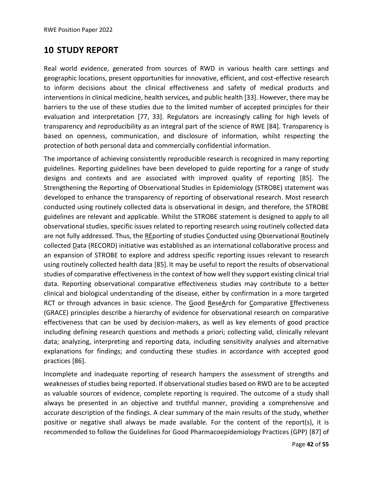## <span id="page-41-0"></span>**10 STUDY REPORT**

Real world evidence, generated from sources of RWD in various health care settings and geographic locations, present opportunities for innovative, efficient, and cost-effective research to inform decisions about the clinical effectiveness and safety of medical products and interventions in clinical medicine, health services, and public health [\[33\]](#page-50-0). However, there may be barriers to the use of these studies due to the limited number of accepted principles for their evaluation and interpretation [\[77,](#page-53-9) [33\]](#page-50-0). Regulators are increasingly calling for high levels of transparency and reproducibility as an integral part of the science of RWE [\[84\]](#page-54-6). Transparency is based on openness, communication, and disclosure of information, whilst respecting the protection of both personal data and commercially confidential information.

The importance of achieving consistently reproducible research is recognized in many reporting guidelines. Reporting guidelines have been developed to guide reporting for a range of study designs and contexts and are associated with improved quality of reporting [\[85\]](#page-54-7). The Strengthening the Reporting of Observational Studies in Epidemiology (STROBE) statement was developed to enhance the transparency of reporting of observational research. Most research conducted using routinely collected data is observational in design, and therefore, the STROBE guidelines are relevant and applicable. Whilst the STROBE statement is designed to apply to all observational studies, specific issues related to reporting research using routinely collected data are not fully addressed. Thus, the REporting of studies Conducted using Observational Routinely collected Data (RECORD) initiative was established as an international collaborative process and an expansion of STROBE to explore and address specific reporting issues relevant to research using routinely collected health data [\[85\]](#page-54-7). It may be useful to report the results of observational studies of comparative effectiveness in the context of how well they support existing clinical trial data. Reporting observational comparative effectiveness studies may contribute to a better clinical and biological understanding of the disease, either by confirmation in a more targeted RCT or through advances in basic science. The Good ReseArch for Comparative Effectiveness (GRACE) principles describe a hierarchy of evidence for observational research on comparative effectiveness that can be used by decision-makers, as well as key elements of good practice including defining research questions and methods a priori; collecting valid, clinically relevant data; analyzing, interpreting and reporting data, including sensitivity analyses and alternative explanations for findings; and conducting these studies in accordance with accepted good practices [\[86\]](#page-54-8).

Incomplete and inadequate reporting of research hampers the assessment of strengths and weaknesses of studies being reported. If observational studies based on RWD are to be accepted as valuable sources of evidence, complete reporting is required. The outcome of a study shall always be presented in an objective and truthful manner, providing a comprehensive and accurate description of the findings. A clear summary of the main results of the study, whether positive or negative shall always be made available. For the content of the report(s), it is recommended to follow the Guidelines for Good Pharmacoepidemiology Practices (GPP) [\[87\]](#page-54-9) of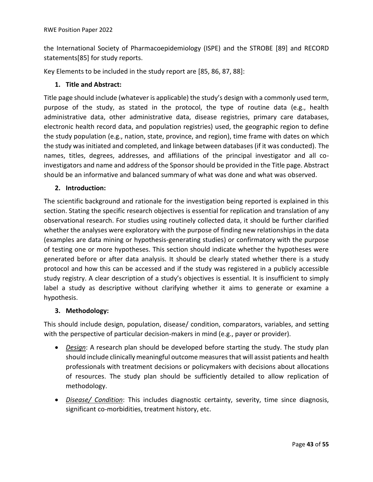the International Society of Pharmacoepidemiology (ISPE) and the STROBE [\[89\]](#page-54-10) and RECORD statements[\[85\]](#page-54-7) for study reports.

Key Elements to be included in the study report are [\[85,](#page-54-7) [86,](#page-54-8) [87,](#page-54-9) [88\]](#page-54-11):

#### **1. Title and Abstract:**

Title page should include (whatever is applicable) the study's design with a commonly used term, purpose of the study, as stated in the protocol, the type of routine data (e.g., health administrative data, other administrative data, disease registries, primary care databases, electronic health record data, and population registries) used, the geographic region to define the study population (e.g., nation, state, province, and region), time frame with dates on which the study was initiated and completed, and linkage between databases (if it was conducted). The names, titles, degrees, addresses, and affiliations of the principal investigator and all coinvestigators and name and address of the Sponsor should be provided in the Title page. Abstract should be an informative and balanced summary of what was done and what was observed.

#### **2. Introduction:**

The scientific background and rationale for the investigation being reported is explained in this section. Stating the specific research objectives is essential for replication and translation of any observational research. For studies using routinely collected data, it should be further clarified whether the analyses were exploratory with the purpose of finding new relationships in the data (examples are data mining or hypothesis-generating studies) or confirmatory with the purpose of testing one or more hypotheses. This section should indicate whether the hypotheses were generated before or after data analysis. It should be clearly stated whether there is a study protocol and how this can be accessed and if the study was registered in a publicly accessible study registry. A clear description of a study's objectives is essential. It is insufficient to simply label a study as descriptive without clarifying whether it aims to generate or examine a hypothesis.

#### **3. Methodology:**

This should include design, population, disease/ condition, comparators, variables, and setting with the perspective of particular decision-makers in mind (e.g., payer or provider).

- *Design*: A research plan should be developed before starting the study. The study plan should include clinically meaningful outcome measures that will assist patients and health professionals with treatment decisions or policymakers with decisions about allocations of resources. The study plan should be sufficiently detailed to allow replication of methodology.
- *Disease/ Condition*: This includes diagnostic certainty, severity, time since diagnosis, significant co-morbidities, treatment history, etc.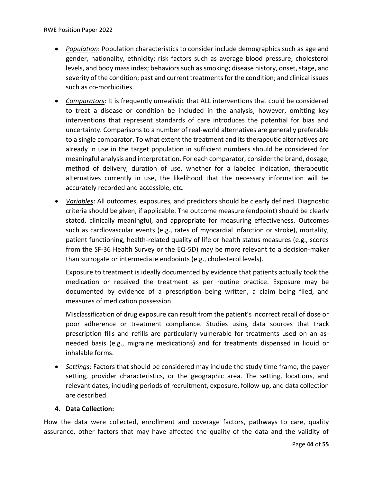RWE Position Paper 2022

- *Population*: Population characteristics to consider include demographics such as age and gender, nationality, ethnicity; risk factors such as average blood pressure, cholesterol levels, and body mass index; behaviors such as smoking; disease history, onset, stage, and severity of the condition; past and current treatments for the condition; and clinical issues such as co-morbidities.
- *Comparators*: It is frequently unrealistic that ALL interventions that could be considered to treat a disease or condition be included in the analysis; however, omitting key interventions that represent standards of care introduces the potential for bias and uncertainty. Comparisons to a number of real-world alternatives are generally preferable to a single comparator. To what extent the treatment and its therapeutic alternatives are already in use in the target population in sufficient numbers should be considered for meaningful analysis and interpretation. For each comparator, consider the brand, dosage, method of delivery, duration of use, whether for a labeled indication, therapeutic alternatives currently in use, the likelihood that the necessary information will be accurately recorded and accessible, etc.
- *Variables*: All outcomes, exposures, and predictors should be clearly defined. Diagnostic criteria should be given, if applicable. The outcome measure (endpoint) should be clearly stated, clinically meaningful, and appropriate for measuring effectiveness. Outcomes such as cardiovascular events (e.g., rates of myocardial infarction or stroke), mortality, patient functioning, health-related quality of life or health status measures (e.g., scores from the SF-36 Health Survey or the EQ-5D) may be more relevant to a decision-maker than surrogate or intermediate endpoints (e.g., cholesterol levels).

Exposure to treatment is ideally documented by evidence that patients actually took the medication or received the treatment as per routine practice. Exposure may be documented by evidence of a prescription being written, a claim being filed, and measures of medication possession.

Misclassification of drug exposure can result from the patient's incorrect recall of dose or poor adherence or treatment compliance. Studies using data sources that track prescription fills and refills are particularly vulnerable for treatments used on an asneeded basis (e.g., migraine medications) and for treatments dispensed in liquid or inhalable forms.

• *Settings*: Factors that should be considered may include the study time frame, the payer setting, provider characteristics, or the geographic area. The setting, locations, and relevant dates, including periods of recruitment, exposure, follow-up, and data collection are described.

### **4. Data Collection:**

How the data were collected, enrollment and coverage factors, pathways to care, quality assurance, other factors that may have affected the quality of the data and the validity of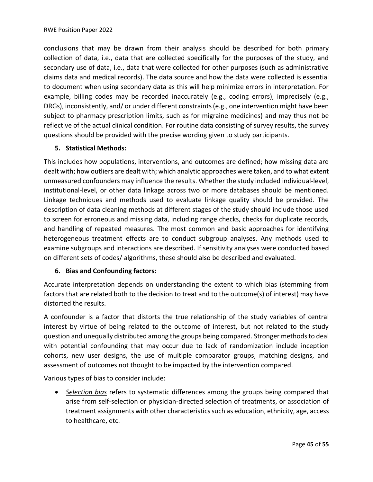conclusions that may be drawn from their analysis should be described for both primary collection of data, i.e., data that are collected specifically for the purposes of the study, and secondary use of data, i.e., data that were collected for other purposes (such as administrative claims data and medical records). The data source and how the data were collected is essential to document when using secondary data as this will help minimize errors in interpretation. For example, billing codes may be recorded inaccurately (e.g., coding errors), imprecisely (e.g., DRGs), inconsistently, and/ or under different constraints (e.g., one intervention might have been subject to pharmacy prescription limits, such as for migraine medicines) and may thus not be reflective of the actual clinical condition. For routine data consisting of survey results, the survey questions should be provided with the precise wording given to study participants.

#### **5. Statistical Methods:**

This includes how populations, interventions, and outcomes are defined; how missing data are dealt with; how outliers are dealt with; which analytic approaches were taken, and to what extent unmeasured confounders may influence the results. Whether the study included individual-level, institutional-level, or other data linkage across two or more databases should be mentioned. Linkage techniques and methods used to evaluate linkage quality should be provided. The description of data cleaning methods at different stages of the study should include those used to screen for erroneous and missing data, including range checks, checks for duplicate records, and handling of repeated measures. The most common and basic approaches for identifying heterogeneous treatment effects are to conduct subgroup analyses. Any methods used to examine subgroups and interactions are described. If sensitivity analyses were conducted based on different sets of codes/ algorithms, these should also be described and evaluated.

### **6. Bias and Confounding factors:**

Accurate interpretation depends on understanding the extent to which bias (stemming from factors that are related both to the decision to treat and to the outcome(s) of interest) may have distorted the results.

A confounder is a factor that distorts the true relationship of the study variables of central interest by virtue of being related to the outcome of interest, but not related to the study question and unequally distributed among the groups being compared. Stronger methods to deal with potential confounding that may occur due to lack of randomization include inception cohorts, new user designs, the use of multiple comparator groups, matching designs, and assessment of outcomes not thought to be impacted by the intervention compared.

Various types of bias to consider include:

• *Selection bias* refers to systematic differences among the groups being compared that arise from self-selection or physician-directed selection of treatments, or association of treatment assignments with other characteristics such as education, ethnicity, age, access to healthcare, etc.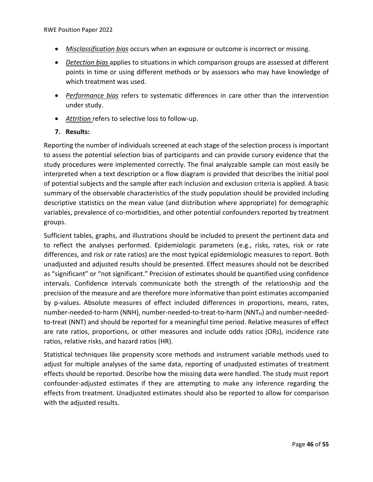- *Misclassification bias* occurs when an exposure or outcome is incorrect or missing.
- *Detection bias* applies to situations in which comparison groups are assessed at different points in time or using different methods or by assessors who may have knowledge of which treatment was used.
- *Performance bias* refers to systematic differences in care other than the intervention under study.
- *Attrition* refers to selective loss to follow-up.
- **7. Results:**

Reporting the number of individuals screened at each stage of the selection process is important to assess the potential selection bias of participants and can provide cursory evidence that the study procedures were implemented correctly. The final analyzable sample can most easily be interpreted when a text description or a flow diagram is provided that describes the initial pool of potential subjects and the sample after each inclusion and exclusion criteria is applied. A basic summary of the observable characteristics of the study population should be provided including descriptive statistics on the mean value (and distribution where appropriate) for demographic variables, prevalence of co-morbidities, and other potential confounders reported by treatment groups.

Sufficient tables, graphs, and illustrations should be included to present the pertinent data and to reflect the analyses performed. Epidemiologic parameters (e.g., risks, rates, risk or rate differences, and risk or rate ratios) are the most typical epidemiologic measures to report. Both unadjusted and adjusted results should be presented. Effect measures should not be described as "significant" or "not significant." Precision of estimates should be quantified using confidence intervals. Confidence intervals communicate both the strength of the relationship and the precision of the measure and are therefore more informative than point estimates accompanied by p-values. Absolute measures of effect included differences in proportions, means, rates, number-needed-to-harm (NNH), number-needed-to-treat-to-harm (NNT $_{\rm H}$ ) and number-neededto-treat (NNT) and should be reported for a meaningful time period. Relative measures of effect are rate ratios, proportions, or other measures and include odds ratios (ORs), incidence rate ratios, relative risks, and hazard ratios (HR).

Statistical techniques like propensity score methods and instrument variable methods used to adjust for multiple analyses of the same data, reporting of unadjusted estimates of treatment effects should be reported. Describe how the missing data were handled. The study must report confounder-adjusted estimates if they are attempting to make any inference regarding the effects from treatment. Unadjusted estimates should also be reported to allow for comparison with the adjusted results.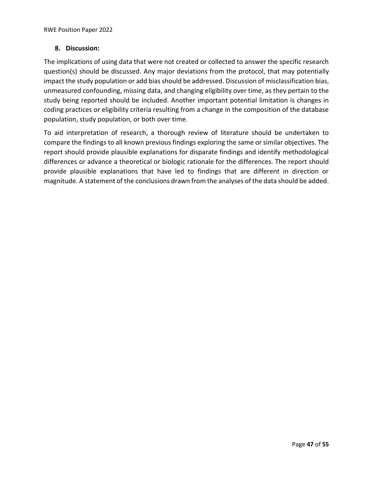### **8. Discussion:**

The implications of using data that were not created or collected to answer the specific research question(s) should be discussed. Any major deviations from the protocol, that may potentially impact the study population or add bias should be addressed. Discussion of misclassification bias, unmeasured confounding, missing data, and changing eligibility over time, as they pertain to the study being reported should be included. Another important potential limitation is changes in coding practices or eligibility criteria resulting from a change in the composition of the database population, study population, or both over time.

To aid interpretation of research, a thorough review of literature should be undertaken to compare the findings to all known previous findings exploring the same or similar objectives. The report should provide plausible explanations for disparate findings and identify methodological differences or advance a theoretical or biologic rationale for the differences. The report should provide plausible explanations that have led to findings that are different in direction or magnitude. A statement of the conclusions drawn from the analyses of the data should be added.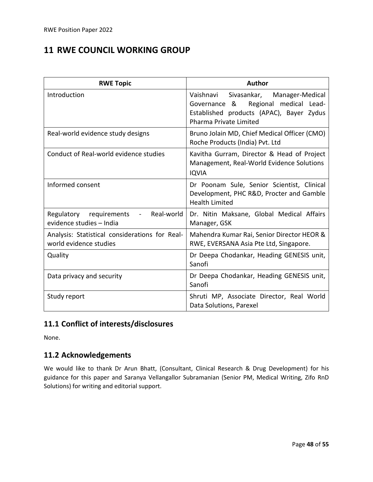## <span id="page-47-0"></span>**11 RWE COUNCIL WORKING GROUP**

| <b>RWE Topic</b>                                                                       | Author                                                                                                                                                      |
|----------------------------------------------------------------------------------------|-------------------------------------------------------------------------------------------------------------------------------------------------------------|
| Introduction                                                                           | Sivasankar,<br>Vaishnavi<br>Manager-Medical<br>Governance &<br>Regional medical Lead-<br>Established products (APAC), Bayer Zydus<br>Pharma Private Limited |
| Real-world evidence study designs                                                      | Bruno Jolain MD, Chief Medical Officer (CMO)<br>Roche Products (India) Pvt. Ltd                                                                             |
| Conduct of Real-world evidence studies                                                 | Kavitha Gurram, Director & Head of Project<br>Management, Real-World Evidence Solutions<br><b>IQVIA</b>                                                     |
| Informed consent                                                                       | Dr Poonam Sule, Senior Scientist, Clinical<br>Development, PHC R&D, Procter and Gamble<br><b>Health Limited</b>                                             |
| Regulatory requirements<br>Real-world<br>$\qquad \qquad -$<br>evidence studies - India | Dr. Nitin Maksane, Global Medical Affairs<br>Manager, GSK                                                                                                   |
| Analysis: Statistical considerations for Real-<br>world evidence studies               | Mahendra Kumar Rai, Senior Director HEOR &<br>RWE, EVERSANA Asia Pte Ltd, Singapore.                                                                        |
| Quality                                                                                | Dr Deepa Chodankar, Heading GENESIS unit,<br>Sanofi                                                                                                         |
| Data privacy and security                                                              | Dr Deepa Chodankar, Heading GENESIS unit,<br>Sanofi                                                                                                         |
| Study report                                                                           | Shruti MP, Associate Director, Real World<br>Data Solutions, Parexel                                                                                        |

## <span id="page-47-1"></span>**11.1 Conflict of interests/disclosures**

None.

### <span id="page-47-2"></span>**11.2 Acknowledgements**

We would like to thank Dr Arun Bhatt, (Consultant, Clinical Research & Drug Development) for his guidance for this paper and Saranya Vellangallor Subramanian (Senior PM, Medical Writing, Zifo RnD Solutions) for writing and editorial support.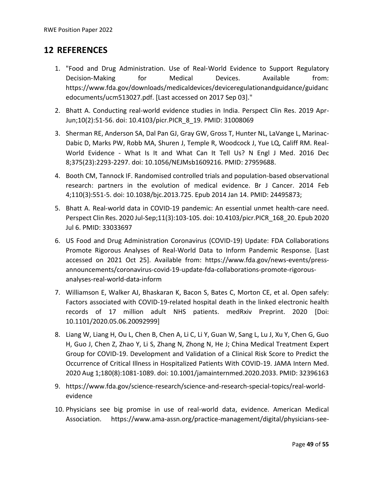## <span id="page-48-0"></span>**12 REFERENCES**

- <span id="page-48-1"></span>1. "Food and Drug Administration. Use of Real‑World Evidence to Support Regulatory Decision-Making for Medical Devices. Available from: https://www.fda.gov/downloads/medicaldevices/deviceregulationandguidance/guidanc edocuments/ucm513027.pdf. [Last accessed on 2017 Sep 03]."
- <span id="page-48-2"></span>2. Bhatt A. Conducting real-world evidence studies in India. Perspect Clin Res. 2019 Apr-Jun;10(2):51-56. doi: 10.4103/picr.PICR\_8\_19. PMID: 31008069
- <span id="page-48-3"></span>3. Sherman RE, Anderson SA, Dal Pan GJ, Gray GW, Gross T, Hunter NL, LaVange L, Marinac-Dabic D, Marks PW, Robb MA, Shuren J, Temple R, Woodcock J, Yue LQ, Califf RM. Real-World Evidence - What Is It and What Can It Tell Us? N Engl J Med. 2016 Dec 8;375(23):2293-2297. doi: 10.1056/NEJMsb1609216. PMID: 27959688.
- <span id="page-48-4"></span>4. Booth CM, Tannock IF. Randomised controlled trials and population-based observational research: partners in the evolution of medical evidence. Br J Cancer. 2014 Feb 4;110(3):551-5. doi: 10.1038/bjc.2013.725. Epub 2014 Jan 14. PMID: 24495873;
- <span id="page-48-5"></span>5. Bhatt A. Real-world data in COVID-19 pandemic: An essential unmet health-care need. Perspect Clin Res. 2020 Jul-Sep;11(3):103-105. doi: 10.4103/picr.PICR\_168\_20. Epub 2020 Jul 6. PMID: 33033697
- <span id="page-48-6"></span>6. US Food and Drug Administration Coronavirus (COVID-19) Update: FDA Collaborations Promote Rigorous Analyses of Real-World Data to Inform Pandemic Response. [Last accessed on 2021 Oct 25]. Available from: https://www.fda.gov/news-events/pressannouncements/coronavirus-covid-19-update-fda-collaborations-promote-rigorousanalyses-real-world-data-inform
- <span id="page-48-7"></span>7. Williamson E, Walker AJ, Bhaskaran K, Bacon S, Bates C, Morton CE, et al. Open safely: Factors associated with COVID-19-related hospital death in the linked electronic health records of 17 million adult NHS patients. medRxiv Preprint. 2020 [Doi: 10.1101/2020.05.06.20092999]
- <span id="page-48-8"></span>8. Liang W, Liang H, Ou L, Chen B, Chen A, Li C, Li Y, Guan W, Sang L, Lu J, Xu Y, Chen G, Guo H, Guo J, Chen Z, Zhao Y, Li S, Zhang N, Zhong N, He J; China Medical Treatment Expert Group for COVID-19. Development and Validation of a Clinical Risk Score to Predict the Occurrence of Critical Illness in Hospitalized Patients With COVID-19. JAMA Intern Med. 2020 Aug 1;180(8):1081-1089. doi: 10.1001/jamainternmed.2020.2033. PMID: 32396163
- <span id="page-48-9"></span>9. https://www.fda.gov/science-research/science-and-research-special-topics/real-worldevidence
- <span id="page-48-10"></span>10. Physicians see big promise in use of real-world data, evidence. American Medical Association. https://www.ama-assn.org/practice-management/digital/physicians-see-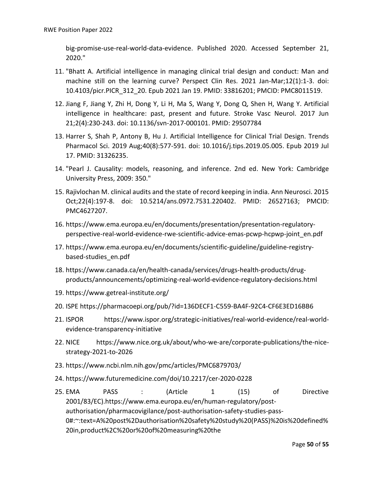big-promise-use-real-world-data-evidence. Published 2020. Accessed September 21, 2020."

- <span id="page-49-0"></span>11. "Bhatt A. Artificial intelligence in managing clinical trial design and conduct: Man and machine still on the learning curve? Perspect Clin Res. 2021 Jan-Mar;12(1):1-3. doi: 10.4103/picr.PICR\_312\_20. Epub 2021 Jan 19. PMID: 33816201; PMCID: PMC8011519.
- <span id="page-49-1"></span>12. Jiang F, Jiang Y, Zhi H, Dong Y, Li H, Ma S, Wang Y, Dong Q, Shen H, Wang Y. Artificial intelligence in healthcare: past, present and future. Stroke Vasc Neurol. 2017 Jun 21;2(4):230-243. doi: 10.1136/svn-2017-000101. PMID: 29507784
- <span id="page-49-2"></span>13. Harrer S, Shah P, Antony B, Hu J. Artificial Intelligence for Clinical Trial Design. Trends Pharmacol Sci. 2019 Aug;40(8):577-591. doi: 10.1016/j.tips.2019.05.005. Epub 2019 Jul 17. PMID: 31326235.
- <span id="page-49-3"></span>14. "Pearl J. Causality: models, reasoning, and inference. 2nd ed. New York: Cambridge University Press, 2009: 350."
- <span id="page-49-4"></span>15. Rajivlochan M. clinical audits and the state of record keeping in india. Ann Neurosci. 2015 Oct;22(4):197-8. doi: 10.5214/ans.0972.7531.220402. PMID: 26527163; PMCID: PMC4627207.
- <span id="page-49-5"></span>16. https://www.ema.europa.eu/en/documents/presentation/presentation-regulatoryperspective-real-world-evidence-rwe-scientific-advice-emas-pcwp-hcpwp-joint\_en.pdf
- <span id="page-49-6"></span>17. https://www.ema.europa.eu/en/documents/scientific-guideline/guideline-registrybased-studies\_en.pdf
- <span id="page-49-7"></span>18. https://www.canada.ca/en/health-canada/services/drugs-health-products/drugproducts/announcements/optimizing-real-world-evidence-regulatory-decisions.html
- <span id="page-49-8"></span>19. https://www.getreal-institute.org/
- <span id="page-49-9"></span>20. ISPE https://pharmacoepi.org/pub/?id=136DECF1-C559-BA4F-92C4-CF6E3ED16BB6
- <span id="page-49-10"></span>21. ISPOR https://www.ispor.org/strategic-initiatives/real-world-evidence/real-worldevidence-transparency-initiative
- <span id="page-49-11"></span>22. NICE https://www.nice.org.uk/about/who-we-are/corporate-publications/the-nicestrategy-2021-to-2026
- <span id="page-49-12"></span>23. https://www.ncbi.nlm.nih.gov/pmc/articles/PMC6879703/
- <span id="page-49-13"></span>24. https://www.futuremedicine.com/doi/10.2217/cer-2020-0228
- <span id="page-49-14"></span>25. EMA PASS : (Article 1 (15) of Directive 2001/83/EC).https://www.ema.europa.eu/en/human-regulatory/postauthorisation/pharmacovigilance/post-authorisation-safety-studies-pass-0#:~:text=A%20post%2Dauthorisation%20safety%20study%20(PASS)%20is%20defined% 20in,product%2C%20or%20of%20measuring%20the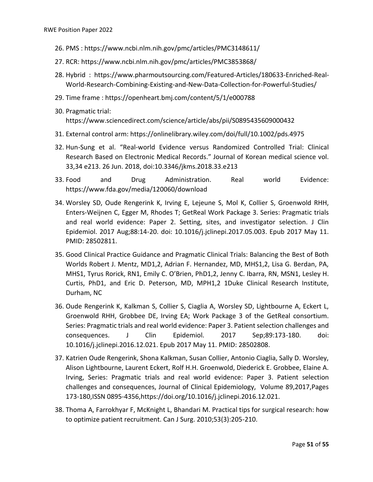- <span id="page-50-1"></span>26. PMS : https://www.ncbi.nlm.nih.gov/pmc/articles/PMC3148611/
- <span id="page-50-2"></span>27. RCR: https://www.ncbi.nlm.nih.gov/pmc/articles/PMC3853868/
- <span id="page-50-3"></span>28. Hybrid : https://www.pharmoutsourcing.com/Featured-Articles/180633-Enriched-Real-World-Research-Combining-Existing-and-New-Data-Collection-for-Powerful-Studies/
- <span id="page-50-4"></span>29. Time frame : https://openheart.bmj.com/content/5/1/e000788
- <span id="page-50-5"></span>30. Pragmatic trial: https://www.sciencedirect.com/science/article/abs/pii/S0895435609000432
- <span id="page-50-6"></span>31. External control arm: https://onlinelibrary.wiley.com/doi/full/10.1002/pds.4975
- <span id="page-50-7"></span>32. Hun-Sung et al. "Real-world Evidence versus Randomized Controlled Trial: Clinical Research Based on Electronic Medical Records." Journal of Korean medical science vol. 33,34 e213. 26 Jun. 2018, doi:10.3346/jkms.2018.33.e213
- <span id="page-50-0"></span>33. Food and Drug Administration. Real world Evidence: https://www.fda.gov/media/120060/download
- <span id="page-50-8"></span>34. Worsley SD, Oude Rengerink K, Irving E, Lejeune S, Mol K, Collier S, Groenwold RHH, Enters-Weijnen C, Egger M, Rhodes T; GetReal Work Package 3. Series: Pragmatic trials and real world evidence: Paper 2. Setting, sites, and investigator selection. J Clin Epidemiol. 2017 Aug;88:14-20. doi: 10.1016/j.jclinepi.2017.05.003. Epub 2017 May 11. PMID: 28502811.
- <span id="page-50-9"></span>35. Good Clinical Practice Guidance and Pragmatic Clinical Trials: Balancing the Best of Both Worlds Robert J. Mentz, MD1,2, Adrian F. Hernandez, MD, MHS1,2, Lisa G. Berdan, PA, MHS1, Tyrus Rorick, RN1, Emily C. O'Brien, PhD1,2, Jenny C. Ibarra, RN, MSN1, Lesley H. Curtis, PhD1, and Eric D. Peterson, MD, MPH1,2 1Duke Clinical Research Institute, Durham, NC
- <span id="page-50-10"></span>36. Oude Rengerink K, Kalkman S, Collier S, Ciaglia A, Worsley SD, Lightbourne A, Eckert L, Groenwold RHH, Grobbee DE, Irving EA; Work Package 3 of the GetReal consortium. Series: Pragmatic trials and real world evidence: Paper 3. Patient selection challenges and consequences. J Clin Epidemiol. 2017 Sep;89:173-180. doi: 10.1016/j.jclinepi.2016.12.021. Epub 2017 May 11. PMID: 28502808.
- <span id="page-50-11"></span>37. Katrien Oude Rengerink, Shona Kalkman, Susan Collier, Antonio Ciaglia, Sally D. Worsley, Alison Lightbourne, Laurent Eckert, Rolf H.H. Groenwold, Diederick E. Grobbee, Elaine A. Irving, Series: Pragmatic trials and real world evidence: Paper 3. Patient selection challenges and consequences, Journal of Clinical Epidemiology, Volume 89,2017,Pages 173-180,ISSN 0895-4356,https://doi.org/10.1016/j.jclinepi.2016.12.021.
- <span id="page-50-12"></span>38. Thoma A, Farrokhyar F, McKnight L, Bhandari M. Practical tips for surgical research: how to optimize patient recruitment. Can J Surg. 2010;53(3):205-210.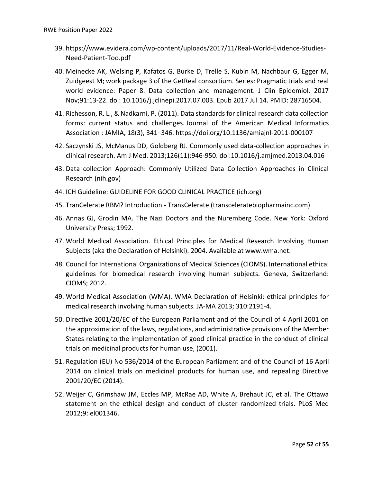- <span id="page-51-0"></span>39. https://www.evidera.com/wp-content/uploads/2017/11/Real-World-Evidence-Studies-Need-Patient-Too.pdf
- <span id="page-51-1"></span>40. Meinecke AK, Welsing P, Kafatos G, Burke D, Trelle S, Kubin M, Nachbaur G, Egger M, Zuidgeest M; work package 3 of the GetReal consortium. Series: Pragmatic trials and real world evidence: Paper 8. Data collection and management. J Clin Epidemiol. 2017 Nov;91:13-22. doi: 10.1016/j.jclinepi.2017.07.003. Epub 2017 Jul 14. PMID: 28716504.
- <span id="page-51-2"></span>41. Richesson, R. L., & Nadkarni, P. (2011). Data standards for clinical research data collection forms: current status and challenges. Journal of the American Medical Informatics Association : JAMIA, 18(3), 341–346. https://doi.org/10.1136/amiajnl-2011-000107
- <span id="page-51-3"></span>42. Saczynski JS, McManus DD, Goldberg RJ. Commonly used data-collection approaches in clinical research. Am J Med. 2013;126(11):946-950. doi:10.1016/j.amjmed.2013.04.016
- <span id="page-51-4"></span>43. Data collection Approach: Commonly Utilized Data Collection Approaches in Clinical Research (nih.gov)
- <span id="page-51-5"></span>44. ICH Guideline: GUIDELINE FOR GOOD CLINICAL PRACTICE (ich.org)
- <span id="page-51-6"></span>45. TranCelerate RBM? Introduction - TransCelerate (transceleratebiopharmainc.com)
- <span id="page-51-7"></span>46. Annas GJ, Grodin MA. The Nazi Doctors and the Nuremberg Code. New York: Oxford University Press; 1992.
- <span id="page-51-8"></span>47. World Medical Association. Ethical Principles for Medical Research Involving Human Subjects (aka the Declaration of Helsinki). 2004. Available at www.wma.net.
- <span id="page-51-9"></span>48. Council for International Organizations of Medical Sciences (CIOMS). International ethical guidelines for biomedical research involving human subjects. Geneva, Switzerland: CIOMS; 2012.
- <span id="page-51-10"></span>49. World Medical Association (WMA). WMA Declaration of Helsinki: ethical principles for medical research involving human subjects. JA-MA 2013; 310:2191-4.
- <span id="page-51-11"></span>50. Directive 2001/20/EC of the European Parliament and of the Council of 4 April 2001 on the approximation of the laws, regulations, and administrative provisions of the Member States relating to the implementation of good clinical practice in the conduct of clinical trials on medicinal products for human use, (2001).
- <span id="page-51-12"></span>51. Regulation (EU) No 536/2014 of the European Parliament and of the Council of 16 April 2014 on clinical trials on medicinal products for human use, and repealing Directive 2001/20/EC (2014).
- <span id="page-51-13"></span>52. Weijer C, Grimshaw JM, Eccles MP, McRae AD, White A, Brehaut JC, et al. The Ottawa statement on the ethical design and conduct of cluster randomized trials. PLoS Med 2012;9: el001346.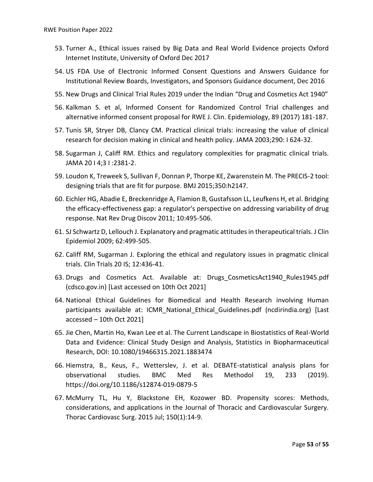- <span id="page-52-1"></span>53. Turner A., Ethical issues raised by Big Data and Real World Evidence projects Oxford Internet Institute, University of Oxford Dec 2017
- <span id="page-52-2"></span>54. US FDA Use of Electronic Informed Consent Questions and Answers Guidance for Institutional Review Boards, Investigators, and Sponsors Guidance document, Dec 2016
- <span id="page-52-3"></span>55. New Drugs and Clinical Trial Rules 2019 under the Indian "Drug and Cosmetics Act 1940"
- <span id="page-52-4"></span>56. Kalkman S. et al, Informed Consent for Randomized Control Trial challenges and alternative informed consent proposal for RWE J. Clin. Epidemiology, 89 (2017) 181-187.
- <span id="page-52-5"></span>57. Tunis SR, Stryer DB, Clancy CM. Practical clinical trials: increasing the value of clinical research for decision making in clinical and health policy. JAMA 2003;290: I 624-32.
- <span id="page-52-6"></span>58. Sugarman J, Califf RM. Ethics and regulatory complexities for pragmatic clinical trials. JAMA 20 I 4;3 I :2381-2.
- <span id="page-52-7"></span>59. Loudon K, Treweek S, Sullivan F, Donnan P, Thorpe KE, Zwarenstein M. The PRECIS-2 tool: designing trials that are fit for purpose. BMJ 2015;350:h2147.
- <span id="page-52-8"></span>60. Eichler HG, Abadie E, Breckenridge A, Flamion B, Gustafsson LL, Leufkens H, et al. Bridging the efficacy-effectiveness gap: a regulator's perspective on addressing variability of drug response. Nat Rev Drug Discov 2011; 10:495-506.
- <span id="page-52-9"></span>61. SJ Schwartz D, Lellouch J. Explanatory and pragmatic attitudes in therapeutical trials. J Clin Epidemiol 2009; 62:499-505.
- <span id="page-52-10"></span>62. Califf RM, Sugarman J. Exploring the ethical and regulatory issues in pragmatic clinical trials. Clin Trials 20 IS; 12:436-41.
- <span id="page-52-11"></span>63. Drugs and Cosmetics Act. Available at: Drugs CosmeticsAct1940 Rules1945.pdf (cdsco.gov.in) [Last accessed on 10th Oct 2021]
- <span id="page-52-0"></span>64. National Ethical Guidelines for Biomedical and Health Research involving Human participants available at: ICMR\_National\_Ethical\_Guidelines.pdf (ncdirindia.org) [Last accessed – 10th Oct 2021]
- <span id="page-52-12"></span>65. Jie Chen, Martin Ho, Kwan Lee et al. The Current Landscape in Biostatistics of Real-World Data and Evidence: Clinical Study Design and Analysis, Statistics in Biopharmaceutical Research, DOI: 10.1080/19466315.2021.1883474
- <span id="page-52-13"></span>66. Hiemstra, B., Keus, F., Wetterslev, J. et al. DEBATE-statistical analysis plans for observational studies. BMC Med Res Methodol 19, 233 (2019). https://doi.org/10.1186/s12874-019-0879-5
- <span id="page-52-14"></span>67. McMurry TL, Hu Y, Blackstone EH, Kozower BD. Propensity scores: Methods, considerations, and applications in the Journal of Thoracic and Cardiovascular Surgery. Thorac Cardiovasc Surg. 2015 Jul; 150(1):14-9.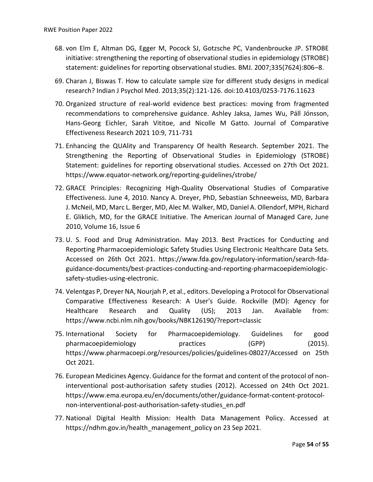- <span id="page-53-0"></span>68. von Elm E, Altman DG, Egger M, Pocock SJ, Gotzsche PC, Vandenbroucke JP. STROBE initiative: strengthening the reporting of observational studies in epidemiology (STROBE) statement: guidelines for reporting observational studies. BMJ. 2007;335(7624):806–8.
- <span id="page-53-1"></span>69. Charan J, Biswas T. How to calculate sample size for different study designs in medical research? Indian J Psychol Med. 2013;35(2):121-126. doi:10.4103/0253-7176.11623
- <span id="page-53-2"></span>70. Organized structure of real-world evidence best practices: moving from fragmented recommendations to comprehensive guidance. Ashley Jaksa, James Wu, Páll Jónsson, Hans-Georg Eichler, Sarah Vititoe, and Nicolle M Gatto. Journal of Comparative Effectiveness Research 2021 10:9, 711-731
- <span id="page-53-3"></span>71. Enhancing the QUAlity and Transparency Of health Research. September 2021. The Strengthening the Reporting of Observational Studies in Epidemiology (STROBE) Statement: guidelines for reporting observational studies. Accessed on 27th Oct 2021. https://www.equator-network.org/reporting-guidelines/strobe/
- <span id="page-53-4"></span>72. GRACE Principles: Recognizing High-Quality Observational Studies of Comparative Effectiveness. June 4, 2010. Nancy A. Dreyer, PhD, Sebastian Schneeweiss, MD, Barbara J. McNeil, MD, Marc L. Berger, MD, Alec M. Walker, MD, Daniel A. Ollendorf, MPH, Richard E. Gliklich, MD, for the GRACE Initiative. The American Journal of Managed Care, June 2010, Volume 16, Issue 6
- <span id="page-53-5"></span>73. U. S. Food and Drug Administration. May 2013. Best Practices for Conducting and Reporting Pharmacoepidemiologic Safety Studies Using Electronic Healthcare Data Sets. Accessed on 26th Oct 2021. https://www.fda.gov/regulatory-information/search-fdaguidance-documents/best-practices-conducting-and-reporting-pharmacoepidemiologicsafety-studies-using-electronic.
- <span id="page-53-6"></span>74. Velentgas P, Dreyer NA, Nourjah P, et al., editors. Developing a Protocol for Observational Comparative Effectiveness Research: A User's Guide. Rockville (MD): Agency for Healthcare Research and Quality (US); 2013 Jan. Available from: https://www.ncbi.nlm.nih.gov/books/NBK126190/?report=classic
- <span id="page-53-7"></span>75. International Society for Pharmacoepidemiology. Guidelines for good pharmacoepidemiology practices (GPP) (2015). https://www.pharmacoepi.org/resources/policies/guidelines-08027/Accessed on 25th Oct 2021.
- <span id="page-53-8"></span>76. European Medicines Agency. Guidance for the format and content of the protocol of noninterventional post-authorisation safety studies (2012). Accessed on 24th Oct 2021. https://www.ema.europa.eu/en/documents/other/guidance-format-content-protocolnon-interventional-post-authorisation-safety-studies\_en.pdf
- <span id="page-53-9"></span>77. National Digital Health Mission: Health Data Management Policy. Accessed at https://ndhm.gov.in/health\_management\_policy on 23 Sep 2021.